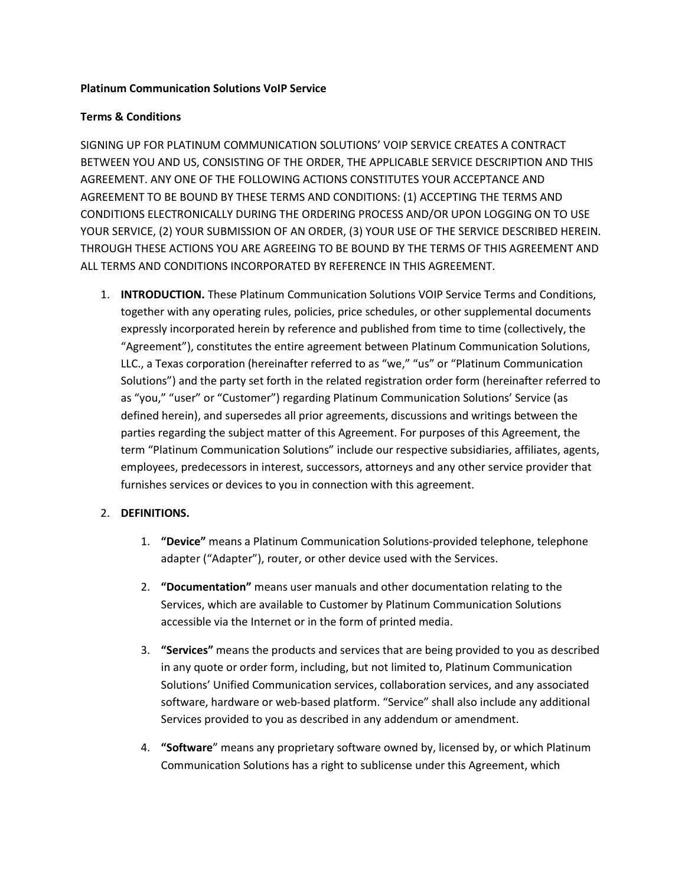#### Platinum Communication Solutions VoIP Service

# Terms & Conditions

SIGNING UP FOR PLATINUM COMMUNICATION SOLUTIONS' VOIP SERVICE CREATES A CONTRACT BETWEEN YOU AND US, CONSISTING OF THE ORDER, THE APPLICABLE SERVICE DESCRIPTION AND THIS AGREEMENT. ANY ONE OF THE FOLLOWING ACTIONS CONSTITUTES YOUR ACCEPTANCE AND AGREEMENT TO BE BOUND BY THESE TERMS AND CONDITIONS: (1) ACCEPTING THE TERMS AND CONDITIONS ELECTRONICALLY DURING THE ORDERING PROCESS AND/OR UPON LOGGING ON TO USE YOUR SERVICE, (2) YOUR SUBMISSION OF AN ORDER, (3) YOUR USE OF THE SERVICE DESCRIBED HEREIN. THROUGH THESE ACTIONS YOU ARE AGREEING TO BE BOUND BY THE TERMS OF THIS AGREEMENT AND ALL TERMS AND CONDITIONS INCORPORATED BY REFERENCE IN THIS AGREEMENT.

1. INTRODUCTION. These Platinum Communication Solutions VOIP Service Terms and Conditions, together with any operating rules, policies, price schedules, or other supplemental documents expressly incorporated herein by reference and published from time to time (collectively, the "Agreement"), constitutes the entire agreement between Platinum Communication Solutions, LLC., a Texas corporation (hereinafter referred to as "we," "us" or "Platinum Communication Solutions") and the party set forth in the related registration order form (hereinafter referred to as "you," "user" or "Customer") regarding Platinum Communication Solutions' Service (as defined herein), and supersedes all prior agreements, discussions and writings between the parties regarding the subject matter of this Agreement. For purposes of this Agreement, the term "Platinum Communication Solutions" include our respective subsidiaries, affiliates, agents, employees, predecessors in interest, successors, attorneys and any other service provider that furnishes services or devices to you in connection with this agreement.

### 2. DEFINITIONS.

- 1. "Device" means a Platinum Communication Solutions-provided telephone, telephone adapter ("Adapter"), router, or other device used with the Services.
- 2. **"Documentation"** means user manuals and other documentation relating to the Services, which are available to Customer by Platinum Communication Solutions accessible via the Internet or in the form of printed media.
- 3. "Services" means the products and services that are being provided to you as described in any quote or order form, including, but not limited to, Platinum Communication Solutions' Unified Communication services, collaboration services, and any associated software, hardware or web-based platform. "Service" shall also include any additional Services provided to you as described in any addendum or amendment.
- 4. "Software" means any proprietary software owned by, licensed by, or which Platinum Communication Solutions has a right to sublicense under this Agreement, which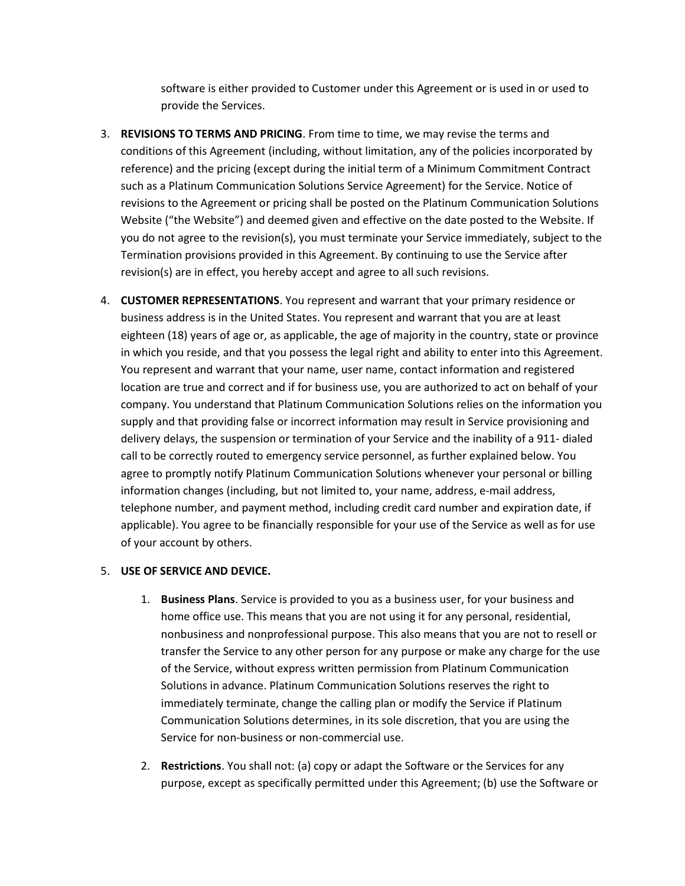software is either provided to Customer under this Agreement or is used in or used to provide the Services.

- 3. REVISIONS TO TERMS AND PRICING. From time to time, we may revise the terms and conditions of this Agreement (including, without limitation, any of the policies incorporated by reference) and the pricing (except during the initial term of a Minimum Commitment Contract such as a Platinum Communication Solutions Service Agreement) for the Service. Notice of revisions to the Agreement or pricing shall be posted on the Platinum Communication Solutions Website ("the Website") and deemed given and effective on the date posted to the Website. If you do not agree to the revision(s), you must terminate your Service immediately, subject to the Termination provisions provided in this Agreement. By continuing to use the Service after revision(s) are in effect, you hereby accept and agree to all such revisions.
- 4. CUSTOMER REPRESENTATIONS. You represent and warrant that your primary residence or business address is in the United States. You represent and warrant that you are at least eighteen (18) years of age or, as applicable, the age of majority in the country, state or province in which you reside, and that you possess the legal right and ability to enter into this Agreement. You represent and warrant that your name, user name, contact information and registered location are true and correct and if for business use, you are authorized to act on behalf of your company. You understand that Platinum Communication Solutions relies on the information you supply and that providing false or incorrect information may result in Service provisioning and delivery delays, the suspension or termination of your Service and the inability of a 911- dialed call to be correctly routed to emergency service personnel, as further explained below. You agree to promptly notify Platinum Communication Solutions whenever your personal or billing information changes (including, but not limited to, your name, address, e-mail address, telephone number, and payment method, including credit card number and expiration date, if applicable). You agree to be financially responsible for your use of the Service as well as for use of your account by others.

### 5. USE OF SERVICE AND DEVICE.

- 1. Business Plans. Service is provided to you as a business user, for your business and home office use. This means that you are not using it for any personal, residential, nonbusiness and nonprofessional purpose. This also means that you are not to resell or transfer the Service to any other person for any purpose or make any charge for the use of the Service, without express written permission from Platinum Communication Solutions in advance. Platinum Communication Solutions reserves the right to immediately terminate, change the calling plan or modify the Service if Platinum Communication Solutions determines, in its sole discretion, that you are using the Service for non-business or non-commercial use.
- 2. Restrictions. You shall not: (a) copy or adapt the Software or the Services for any purpose, except as specifically permitted under this Agreement; (b) use the Software or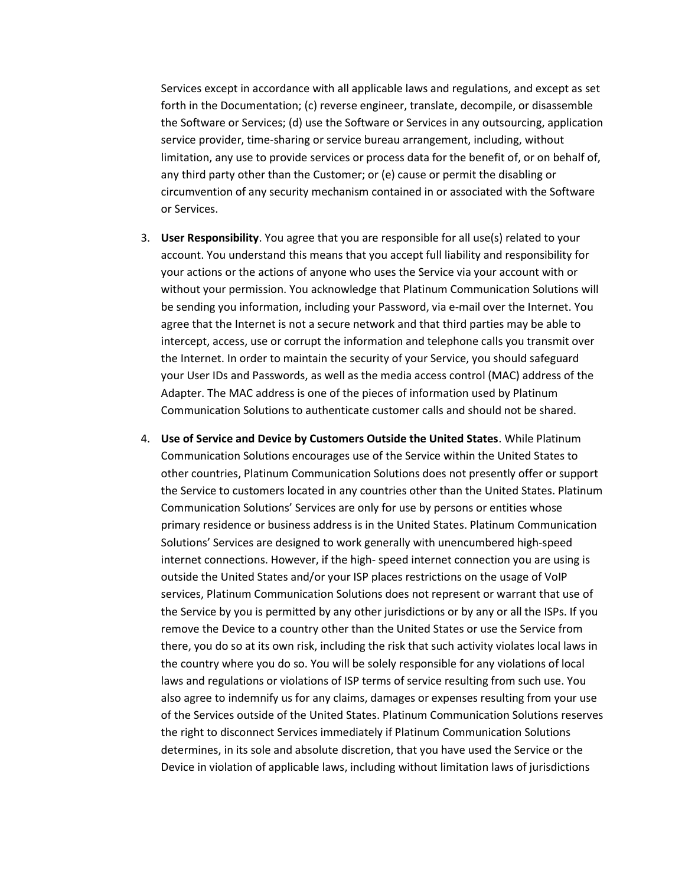Services except in accordance with all applicable laws and regulations, and except as set forth in the Documentation; (c) reverse engineer, translate, decompile, or disassemble the Software or Services; (d) use the Software or Services in any outsourcing, application service provider, time-sharing or service bureau arrangement, including, without limitation, any use to provide services or process data for the benefit of, or on behalf of, any third party other than the Customer; or (e) cause or permit the disabling or circumvention of any security mechanism contained in or associated with the Software or Services.

- 3. User Responsibility. You agree that you are responsible for all use(s) related to your account. You understand this means that you accept full liability and responsibility for your actions or the actions of anyone who uses the Service via your account with or without your permission. You acknowledge that Platinum Communication Solutions will be sending you information, including your Password, via e-mail over the Internet. You agree that the Internet is not a secure network and that third parties may be able to intercept, access, use or corrupt the information and telephone calls you transmit over the Internet. In order to maintain the security of your Service, you should safeguard your User IDs and Passwords, as well as the media access control (MAC) address of the Adapter. The MAC address is one of the pieces of information used by Platinum Communication Solutions to authenticate customer calls and should not be shared.
- 4. Use of Service and Device by Customers Outside the United States. While Platinum Communication Solutions encourages use of the Service within the United States to other countries, Platinum Communication Solutions does not presently offer or support the Service to customers located in any countries other than the United States. Platinum Communication Solutions' Services are only for use by persons or entities whose primary residence or business address is in the United States. Platinum Communication Solutions' Services are designed to work generally with unencumbered high-speed internet connections. However, if the high- speed internet connection you are using is outside the United States and/or your ISP places restrictions on the usage of VoIP services, Platinum Communication Solutions does not represent or warrant that use of the Service by you is permitted by any other jurisdictions or by any or all the ISPs. If you remove the Device to a country other than the United States or use the Service from there, you do so at its own risk, including the risk that such activity violates local laws in the country where you do so. You will be solely responsible for any violations of local laws and regulations or violations of ISP terms of service resulting from such use. You also agree to indemnify us for any claims, damages or expenses resulting from your use of the Services outside of the United States. Platinum Communication Solutions reserves the right to disconnect Services immediately if Platinum Communication Solutions determines, in its sole and absolute discretion, that you have used the Service or the Device in violation of applicable laws, including without limitation laws of jurisdictions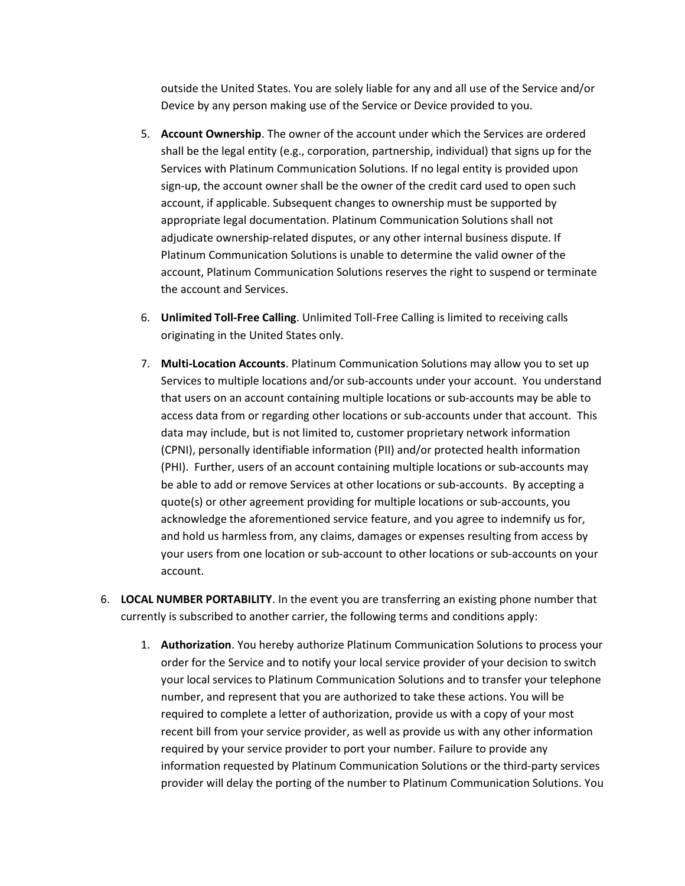outside the United States. You are solely liable for any and all use of the Service and/or Device by any person making use of the Service or Device provided to you.

- 5. Account Ownership. The owner of the account under which the Services are ordered shall be the legal entity (e.g., corporation, partnership, individual) that signs up for the Services with Platinum Communication Solutions. If no legal entity is provided upon sign-up, the account owner shall be the owner of the credit card used to open such account, if applicable. Subsequent changes to ownership must be supported by appropriate legal documentation. Platinum Communication Solutions shall not adjudicate ownership-related disputes, or any other internal business dispute. If Platinum Communication Solutions is unable to determine the valid owner of the account, Platinum Communication Solutions reserves the right to suspend or terminate the account and Services.
- 6. Unlimited Toll-Free Calling. Unlimited Toll-Free Calling is limited to receiving calls originating in the United States only.
- 7. Multi-Location Accounts. Platinum Communication Solutions may allow you to set up Services to multiple locations and/or sub-accounts under your account. You understand that users on an account containing multiple locations or sub-accounts may be able to access data from or regarding other locations or sub-accounts under that account. This data may include, but is not limited to, customer proprietary network information (CPNI), personally identifiable information (PII) and/or protected health information (PHI). Further, users of an account containing multiple locations or sub-accounts may be able to add or remove Services at other locations or sub-accounts. By accepting a quote(s) or other agreement providing for multiple locations or sub-accounts, you acknowledge the aforementioned service feature, and you agree to indemnify us for, and hold us harmless from, any claims, damages or expenses resulting from access by your users from one location or sub-account to other locations or sub-accounts on your account.
- 6. LOCAL NUMBER PORTABILITY. In the event you are transferring an existing phone number that currently is subscribed to another carrier, the following terms and conditions apply:
	- 1. Authorization. You hereby authorize Platinum Communication Solutions to process your order for the Service and to notify your local service provider of your decision to switch your local services to Platinum Communication Solutions and to transfer your telephone number, and represent that you are authorized to take these actions. You will be required to complete a letter of authorization, provide us with a copy of your most recent bill from your service provider, as well as provide us with any other information required by your service provider to port your number. Failure to provide any information requested by Platinum Communication Solutions or the third-party services provider will delay the porting of the number to Platinum Communication Solutions. You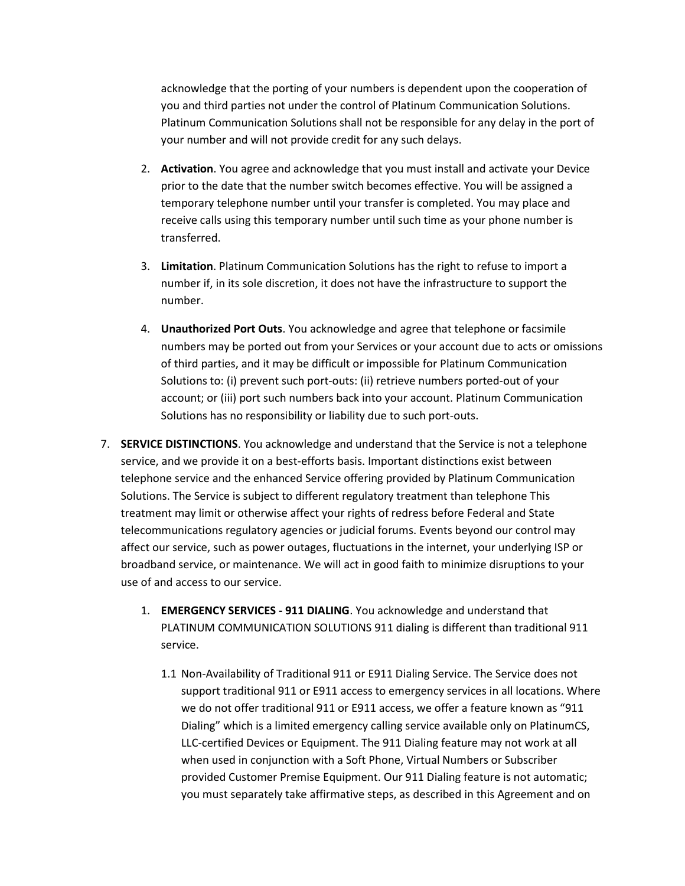acknowledge that the porting of your numbers is dependent upon the cooperation of you and third parties not under the control of Platinum Communication Solutions. Platinum Communication Solutions shall not be responsible for any delay in the port of your number and will not provide credit for any such delays.

- 2. Activation. You agree and acknowledge that you must install and activate your Device prior to the date that the number switch becomes effective. You will be assigned a temporary telephone number until your transfer is completed. You may place and receive calls using this temporary number until such time as your phone number is transferred.
- 3. Limitation. Platinum Communication Solutions has the right to refuse to import a number if, in its sole discretion, it does not have the infrastructure to support the number.
- 4. Unauthorized Port Outs. You acknowledge and agree that telephone or facsimile numbers may be ported out from your Services or your account due to acts or omissions of third parties, and it may be difficult or impossible for Platinum Communication Solutions to: (i) prevent such port-outs: (ii) retrieve numbers ported-out of your account; or (iii) port such numbers back into your account. Platinum Communication Solutions has no responsibility or liability due to such port-outs.
- 7. **SERVICE DISTINCTIONS**. You acknowledge and understand that the Service is not a telephone service, and we provide it on a best-efforts basis. Important distinctions exist between telephone service and the enhanced Service offering provided by Platinum Communication Solutions. The Service is subject to different regulatory treatment than telephone This treatment may limit or otherwise affect your rights of redress before Federal and State telecommunications regulatory agencies or judicial forums. Events beyond our control may affect our service, such as power outages, fluctuations in the internet, your underlying ISP or broadband service, or maintenance. We will act in good faith to minimize disruptions to your use of and access to our service.
	- 1. EMERGENCY SERVICES 911 DIALING. You acknowledge and understand that PLATINUM COMMUNICATION SOLUTIONS 911 dialing is different than traditional 911 service.
		- 1.1 Non-Availability of Traditional 911 or E911 Dialing Service. The Service does not support traditional 911 or E911 access to emergency services in all locations. Where we do not offer traditional 911 or E911 access, we offer a feature known as "911 Dialing" which is a limited emergency calling service available only on PlatinumCS, LLC-certified Devices or Equipment. The 911 Dialing feature may not work at all when used in conjunction with a Soft Phone, Virtual Numbers or Subscriber provided Customer Premise Equipment. Our 911 Dialing feature is not automatic; you must separately take affirmative steps, as described in this Agreement and on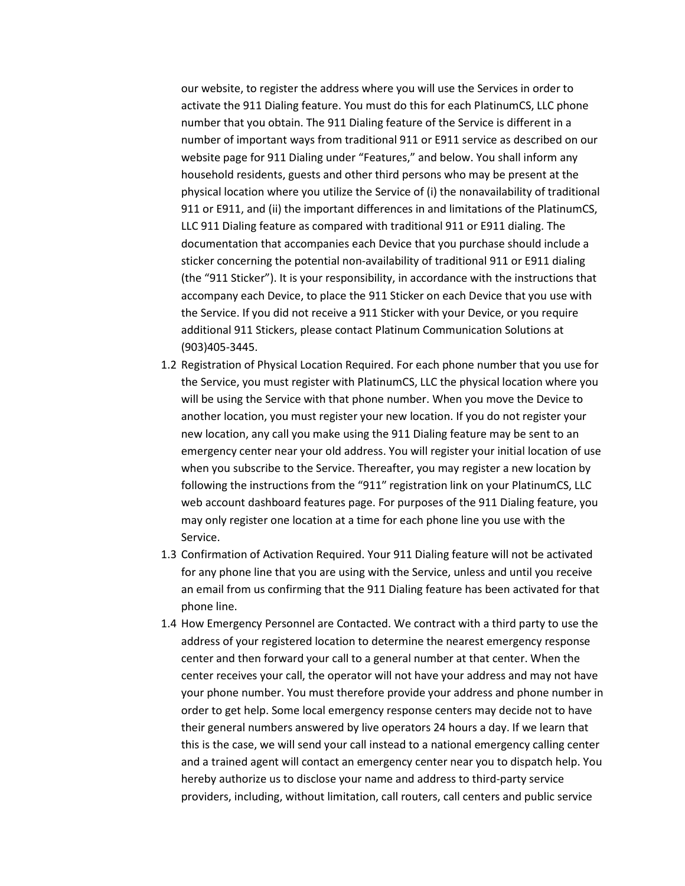our website, to register the address where you will use the Services in order to activate the 911 Dialing feature. You must do this for each PlatinumCS, LLC phone number that you obtain. The 911 Dialing feature of the Service is different in a number of important ways from traditional 911 or E911 service as described on our website page for 911 Dialing under "Features," and below. You shall inform any household residents, guests and other third persons who may be present at the physical location where you utilize the Service of (i) the nonavailability of traditional 911 or E911, and (ii) the important differences in and limitations of the PlatinumCS, LLC 911 Dialing feature as compared with traditional 911 or E911 dialing. The documentation that accompanies each Device that you purchase should include a sticker concerning the potential non-availability of traditional 911 or E911 dialing (the "911 Sticker"). It is your responsibility, in accordance with the instructions that accompany each Device, to place the 911 Sticker on each Device that you use with the Service. If you did not receive a 911 Sticker with your Device, or you require additional 911 Stickers, please contact Platinum Communication Solutions at (903)405-3445.

- 1.2 Registration of Physical Location Required. For each phone number that you use for the Service, you must register with PlatinumCS, LLC the physical location where you will be using the Service with that phone number. When you move the Device to another location, you must register your new location. If you do not register your new location, any call you make using the 911 Dialing feature may be sent to an emergency center near your old address. You will register your initial location of use when you subscribe to the Service. Thereafter, you may register a new location by following the instructions from the "911″ registration link on your PlatinumCS, LLC web account dashboard features page. For purposes of the 911 Dialing feature, you may only register one location at a time for each phone line you use with the Service.
- 1.3 Confirmation of Activation Required. Your 911 Dialing feature will not be activated for any phone line that you are using with the Service, unless and until you receive an email from us confirming that the 911 Dialing feature has been activated for that phone line.
- 1.4 How Emergency Personnel are Contacted. We contract with a third party to use the address of your registered location to determine the nearest emergency response center and then forward your call to a general number at that center. When the center receives your call, the operator will not have your address and may not have your phone number. You must therefore provide your address and phone number in order to get help. Some local emergency response centers may decide not to have their general numbers answered by live operators 24 hours a day. If we learn that this is the case, we will send your call instead to a national emergency calling center and a trained agent will contact an emergency center near you to dispatch help. You hereby authorize us to disclose your name and address to third-party service providers, including, without limitation, call routers, call centers and public service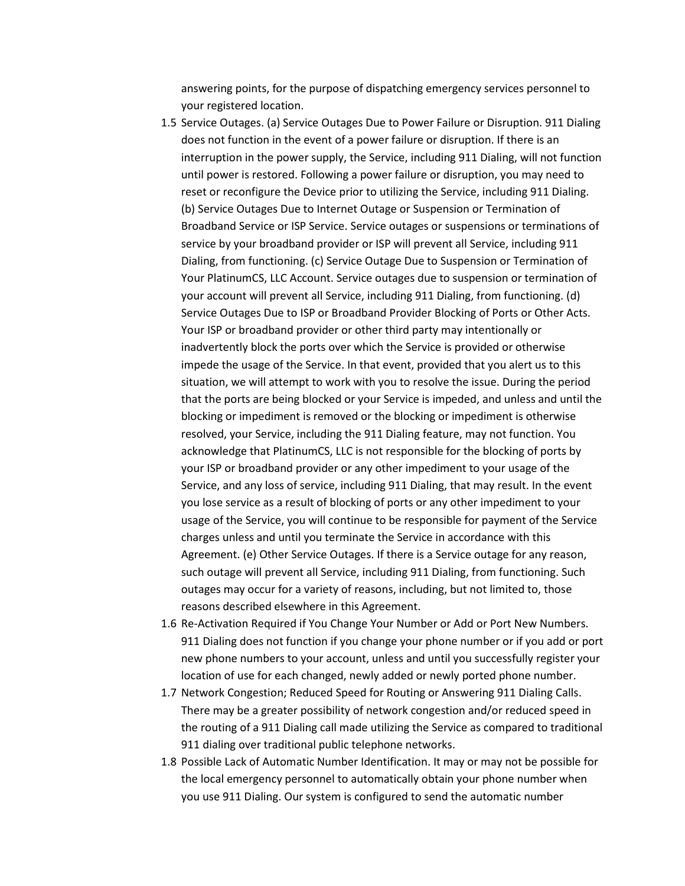answering points, for the purpose of dispatching emergency services personnel to your registered location.

- 1.5 Service Outages. (a) Service Outages Due to Power Failure or Disruption. 911 Dialing does not function in the event of a power failure or disruption. If there is an interruption in the power supply, the Service, including 911 Dialing, will not function until power is restored. Following a power failure or disruption, you may need to reset or reconfigure the Device prior to utilizing the Service, including 911 Dialing. (b) Service Outages Due to Internet Outage or Suspension or Termination of Broadband Service or ISP Service. Service outages or suspensions or terminations of service by your broadband provider or ISP will prevent all Service, including 911 Dialing, from functioning. (c) Service Outage Due to Suspension or Termination of Your PlatinumCS, LLC Account. Service outages due to suspension or termination of your account will prevent all Service, including 911 Dialing, from functioning. (d) Service Outages Due to ISP or Broadband Provider Blocking of Ports or Other Acts. Your ISP or broadband provider or other third party may intentionally or inadvertently block the ports over which the Service is provided or otherwise impede the usage of the Service. In that event, provided that you alert us to this situation, we will attempt to work with you to resolve the issue. During the period that the ports are being blocked or your Service is impeded, and unless and until the blocking or impediment is removed or the blocking or impediment is otherwise resolved, your Service, including the 911 Dialing feature, may not function. You acknowledge that PlatinumCS, LLC is not responsible for the blocking of ports by your ISP or broadband provider or any other impediment to your usage of the Service, and any loss of service, including 911 Dialing, that may result. In the event you lose service as a result of blocking of ports or any other impediment to your usage of the Service, you will continue to be responsible for payment of the Service charges unless and until you terminate the Service in accordance with this Agreement. (e) Other Service Outages. If there is a Service outage for any reason, such outage will prevent all Service, including 911 Dialing, from functioning. Such outages may occur for a variety of reasons, including, but not limited to, those reasons described elsewhere in this Agreement.
- 1.6 Re-Activation Required if You Change Your Number or Add or Port New Numbers. 911 Dialing does not function if you change your phone number or if you add or port new phone numbers to your account, unless and until you successfully register your location of use for each changed, newly added or newly ported phone number.
- 1.7 Network Congestion; Reduced Speed for Routing or Answering 911 Dialing Calls. There may be a greater possibility of network congestion and/or reduced speed in the routing of a 911 Dialing call made utilizing the Service as compared to traditional 911 dialing over traditional public telephone networks.
- 1.8 Possible Lack of Automatic Number Identification. It may or may not be possible for the local emergency personnel to automatically obtain your phone number when you use 911 Dialing. Our system is configured to send the automatic number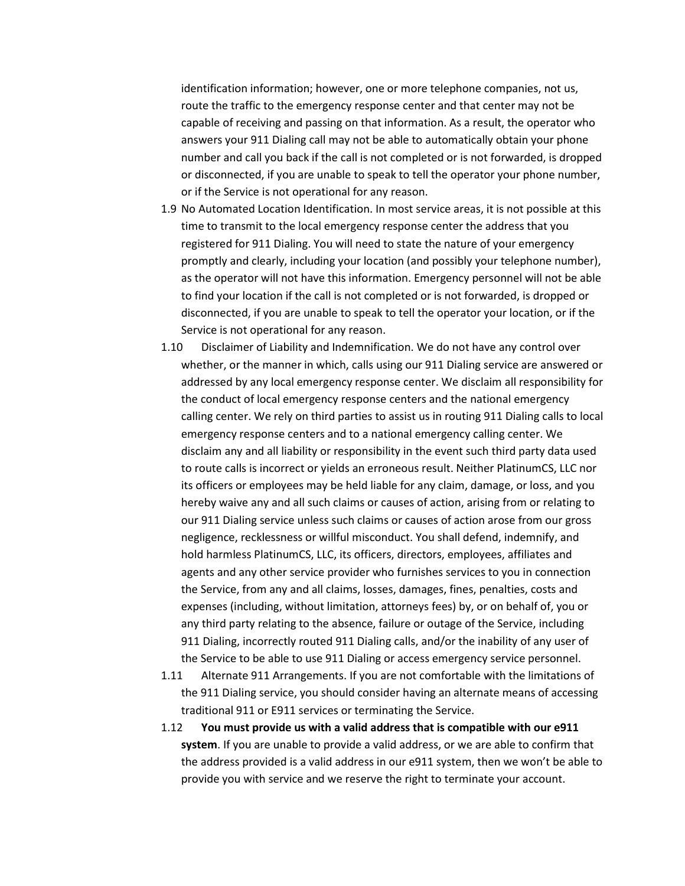identification information; however, one or more telephone companies, not us, route the traffic to the emergency response center and that center may not be capable of receiving and passing on that information. As a result, the operator who answers your 911 Dialing call may not be able to automatically obtain your phone number and call you back if the call is not completed or is not forwarded, is dropped or disconnected, if you are unable to speak to tell the operator your phone number, or if the Service is not operational for any reason.

- 1.9 No Automated Location Identification. In most service areas, it is not possible at this time to transmit to the local emergency response center the address that you registered for 911 Dialing. You will need to state the nature of your emergency promptly and clearly, including your location (and possibly your telephone number), as the operator will not have this information. Emergency personnel will not be able to find your location if the call is not completed or is not forwarded, is dropped or disconnected, if you are unable to speak to tell the operator your location, or if the Service is not operational for any reason.
- 1.10 Disclaimer of Liability and Indemnification. We do not have any control over whether, or the manner in which, calls using our 911 Dialing service are answered or addressed by any local emergency response center. We disclaim all responsibility for the conduct of local emergency response centers and the national emergency calling center. We rely on third parties to assist us in routing 911 Dialing calls to local emergency response centers and to a national emergency calling center. We disclaim any and all liability or responsibility in the event such third party data used to route calls is incorrect or yields an erroneous result. Neither PlatinumCS, LLC nor its officers or employees may be held liable for any claim, damage, or loss, and you hereby waive any and all such claims or causes of action, arising from or relating to our 911 Dialing service unless such claims or causes of action arose from our gross negligence, recklessness or willful misconduct. You shall defend, indemnify, and hold harmless PlatinumCS, LLC, its officers, directors, employees, affiliates and agents and any other service provider who furnishes services to you in connection the Service, from any and all claims, losses, damages, fines, penalties, costs and expenses (including, without limitation, attorneys fees) by, or on behalf of, you or any third party relating to the absence, failure or outage of the Service, including 911 Dialing, incorrectly routed 911 Dialing calls, and/or the inability of any user of the Service to be able to use 911 Dialing or access emergency service personnel.
- 1.11 Alternate 911 Arrangements. If you are not comfortable with the limitations of the 911 Dialing service, you should consider having an alternate means of accessing traditional 911 or E911 services or terminating the Service.
- 1.12 You must provide us with a valid address that is compatible with our e911 system. If you are unable to provide a valid address, or we are able to confirm that the address provided is a valid address in our e911 system, then we won't be able to provide you with service and we reserve the right to terminate your account.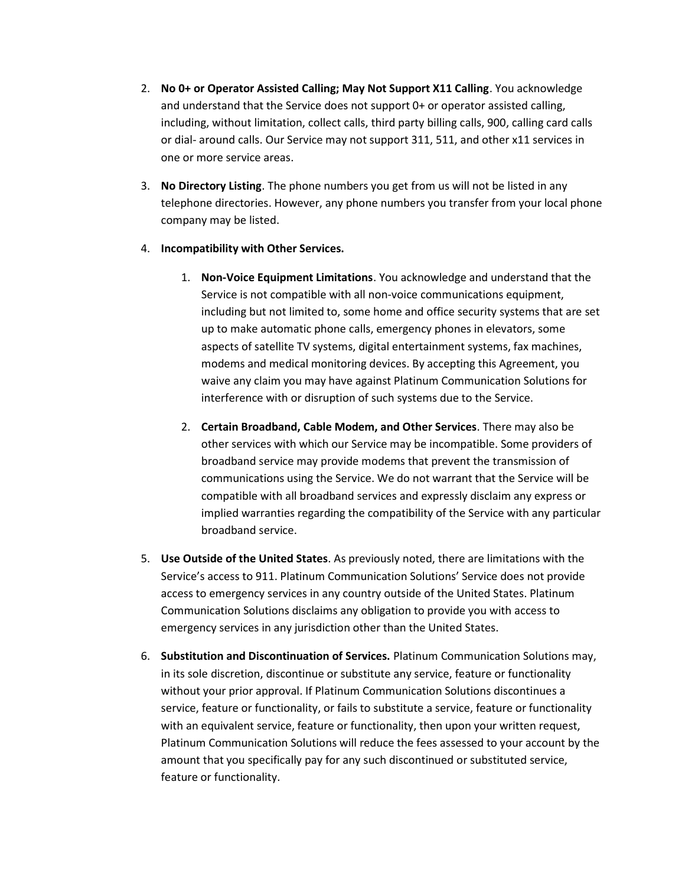- 2. No 0+ or Operator Assisted Calling; May Not Support X11 Calling. You acknowledge and understand that the Service does not support 0+ or operator assisted calling, including, without limitation, collect calls, third party billing calls, 900, calling card calls or dial- around calls. Our Service may not support 311, 511, and other x11 services in one or more service areas.
- 3. No Directory Listing. The phone numbers you get from us will not be listed in any telephone directories. However, any phone numbers you transfer from your local phone company may be listed.
- 4. Incompatibility with Other Services.
	- 1. Non-Voice Equipment Limitations. You acknowledge and understand that the Service is not compatible with all non-voice communications equipment, including but not limited to, some home and office security systems that are set up to make automatic phone calls, emergency phones in elevators, some aspects of satellite TV systems, digital entertainment systems, fax machines, modems and medical monitoring devices. By accepting this Agreement, you waive any claim you may have against Platinum Communication Solutions for interference with or disruption of such systems due to the Service.
	- 2. Certain Broadband, Cable Modem, and Other Services. There may also be other services with which our Service may be incompatible. Some providers of broadband service may provide modems that prevent the transmission of communications using the Service. We do not warrant that the Service will be compatible with all broadband services and expressly disclaim any express or implied warranties regarding the compatibility of the Service with any particular broadband service.
- 5. Use Outside of the United States. As previously noted, there are limitations with the Service's access to 911. Platinum Communication Solutions' Service does not provide access to emergency services in any country outside of the United States. Platinum Communication Solutions disclaims any obligation to provide you with access to emergency services in any jurisdiction other than the United States.
- 6. Substitution and Discontinuation of Services. Platinum Communication Solutions may, in its sole discretion, discontinue or substitute any service, feature or functionality without your prior approval. If Platinum Communication Solutions discontinues a service, feature or functionality, or fails to substitute a service, feature or functionality with an equivalent service, feature or functionality, then upon your written request, Platinum Communication Solutions will reduce the fees assessed to your account by the amount that you specifically pay for any such discontinued or substituted service, feature or functionality.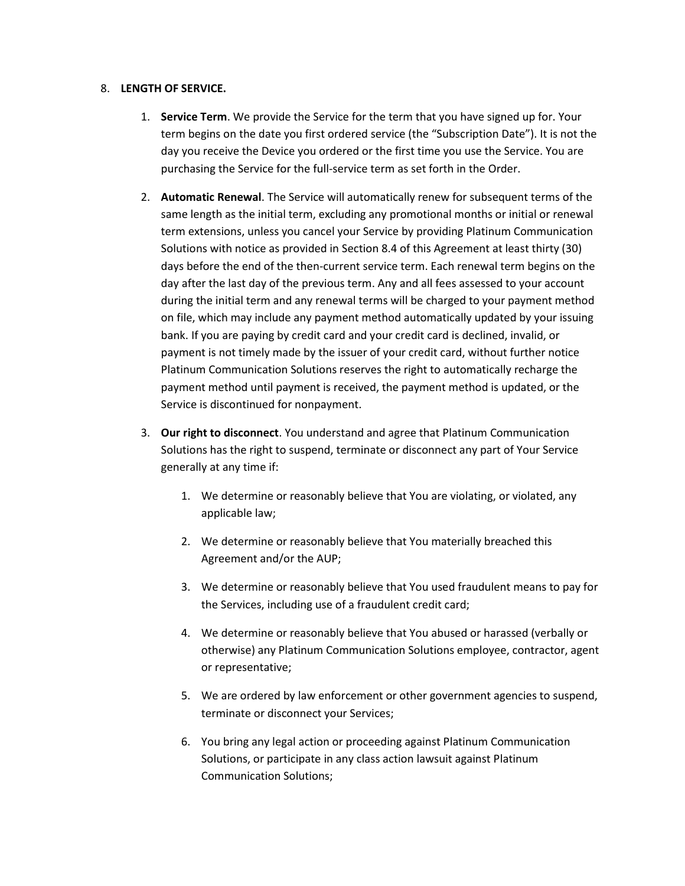#### 8. LENGTH OF SERVICE.

- 1. Service Term. We provide the Service for the term that you have signed up for. Your term begins on the date you first ordered service (the "Subscription Date"). It is not the day you receive the Device you ordered or the first time you use the Service. You are purchasing the Service for the full-service term as set forth in the Order.
- 2. Automatic Renewal. The Service will automatically renew for subsequent terms of the same length as the initial term, excluding any promotional months or initial or renewal term extensions, unless you cancel your Service by providing Platinum Communication Solutions with notice as provided in Section 8.4 of this Agreement at least thirty (30) days before the end of the then-current service term. Each renewal term begins on the day after the last day of the previous term. Any and all fees assessed to your account during the initial term and any renewal terms will be charged to your payment method on file, which may include any payment method automatically updated by your issuing bank. If you are paying by credit card and your credit card is declined, invalid, or payment is not timely made by the issuer of your credit card, without further notice Platinum Communication Solutions reserves the right to automatically recharge the payment method until payment is received, the payment method is updated, or the Service is discontinued for nonpayment.
- 3. Our right to disconnect. You understand and agree that Platinum Communication Solutions has the right to suspend, terminate or disconnect any part of Your Service generally at any time if:
	- 1. We determine or reasonably believe that You are violating, or violated, any applicable law;
	- 2. We determine or reasonably believe that You materially breached this Agreement and/or the AUP;
	- 3. We determine or reasonably believe that You used fraudulent means to pay for the Services, including use of a fraudulent credit card;
	- 4. We determine or reasonably believe that You abused or harassed (verbally or otherwise) any Platinum Communication Solutions employee, contractor, agent or representative;
	- 5. We are ordered by law enforcement or other government agencies to suspend, terminate or disconnect your Services;
	- 6. You bring any legal action or proceeding against Platinum Communication Solutions, or participate in any class action lawsuit against Platinum Communication Solutions;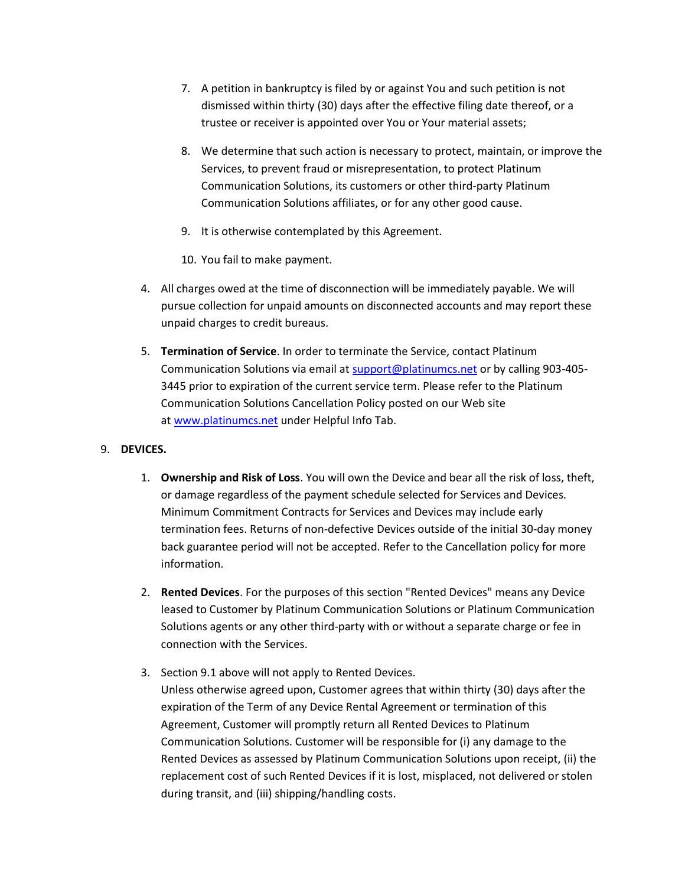- 7. A petition in bankruptcy is filed by or against You and such petition is not dismissed within thirty (30) days after the effective filing date thereof, or a trustee or receiver is appointed over You or Your material assets;
- 8. We determine that such action is necessary to protect, maintain, or improve the Services, to prevent fraud or misrepresentation, to protect Platinum Communication Solutions, its customers or other third-party Platinum Communication Solutions affiliates, or for any other good cause.
- 9. It is otherwise contemplated by this Agreement.
- 10. You fail to make payment.
- 4. All charges owed at the time of disconnection will be immediately payable. We will pursue collection for unpaid amounts on disconnected accounts and may report these unpaid charges to credit bureaus.
- 5. Termination of Service. In order to terminate the Service, contact Platinum Communication Solutions via email at support@platinumcs.net or by calling 903-405- 3445 prior to expiration of the current service term. Please refer to the Platinum Communication Solutions Cancellation Policy posted on our Web site at www.platinumcs.net under Helpful Info Tab.

# 9. DEVICES.

- 1. Ownership and Risk of Loss. You will own the Device and bear all the risk of loss, theft, or damage regardless of the payment schedule selected for Services and Devices. Minimum Commitment Contracts for Services and Devices may include early termination fees. Returns of non-defective Devices outside of the initial 30-day money back guarantee period will not be accepted. Refer to the Cancellation policy for more information.
- 2. Rented Devices. For the purposes of this section "Rented Devices" means any Device leased to Customer by Platinum Communication Solutions or Platinum Communication Solutions agents or any other third-party with or without a separate charge or fee in connection with the Services.
- 3. Section 9.1 above will not apply to Rented Devices. Unless otherwise agreed upon, Customer agrees that within thirty (30) days after the expiration of the Term of any Device Rental Agreement or termination of this Agreement, Customer will promptly return all Rented Devices to Platinum Communication Solutions. Customer will be responsible for (i) any damage to the Rented Devices as assessed by Platinum Communication Solutions upon receipt, (ii) the replacement cost of such Rented Devices if it is lost, misplaced, not delivered or stolen during transit, and (iii) shipping/handling costs.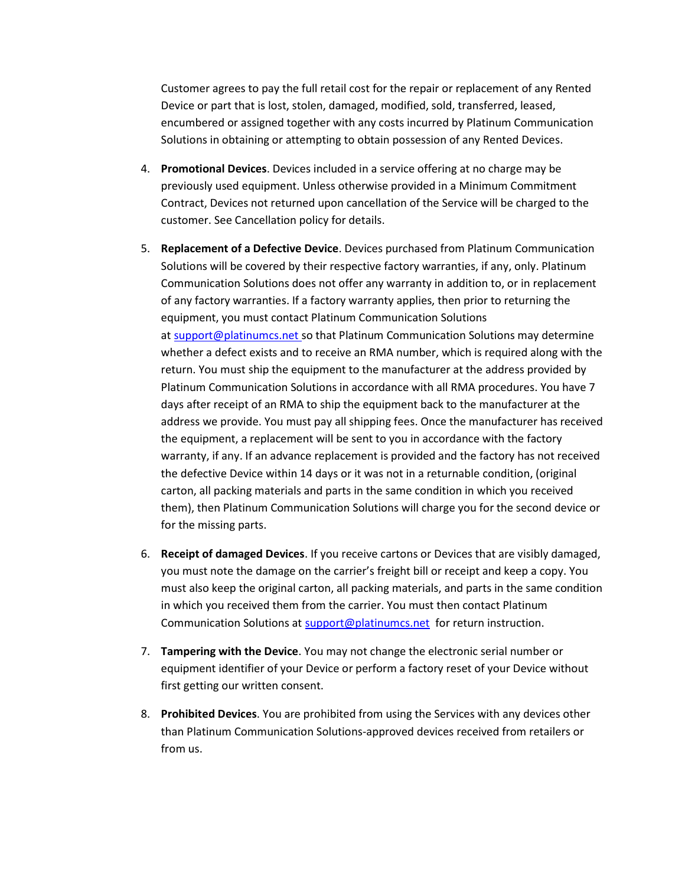Customer agrees to pay the full retail cost for the repair or replacement of any Rented Device or part that is lost, stolen, damaged, modified, sold, transferred, leased, encumbered or assigned together with any costs incurred by Platinum Communication Solutions in obtaining or attempting to obtain possession of any Rented Devices.

- 4. Promotional Devices. Devices included in a service offering at no charge may be previously used equipment. Unless otherwise provided in a Minimum Commitment Contract, Devices not returned upon cancellation of the Service will be charged to the customer. See Cancellation policy for details.
- 5. Replacement of a Defective Device. Devices purchased from Platinum Communication Solutions will be covered by their respective factory warranties, if any, only. Platinum Communication Solutions does not offer any warranty in addition to, or in replacement of any factory warranties. If a factory warranty applies, then prior to returning the equipment, you must contact Platinum Communication Solutions at support@platinumcs.net so that Platinum Communication Solutions may determine whether a defect exists and to receive an RMA number, which is required along with the return. You must ship the equipment to the manufacturer at the address provided by Platinum Communication Solutions in accordance with all RMA procedures. You have 7 days after receipt of an RMA to ship the equipment back to the manufacturer at the address we provide. You must pay all shipping fees. Once the manufacturer has received the equipment, a replacement will be sent to you in accordance with the factory warranty, if any. If an advance replacement is provided and the factory has not received the defective Device within 14 days or it was not in a returnable condition, (original carton, all packing materials and parts in the same condition in which you received them), then Platinum Communication Solutions will charge you for the second device or for the missing parts.
- 6. Receipt of damaged Devices. If you receive cartons or Devices that are visibly damaged, you must note the damage on the carrier's freight bill or receipt and keep a copy. You must also keep the original carton, all packing materials, and parts in the same condition in which you received them from the carrier. You must then contact Platinum Communication Solutions at support@platinumcs.net for return instruction.
- 7. Tampering with the Device. You may not change the electronic serial number or equipment identifier of your Device or perform a factory reset of your Device without first getting our written consent.
- 8. Prohibited Devices. You are prohibited from using the Services with any devices other than Platinum Communication Solutions-approved devices received from retailers or from us.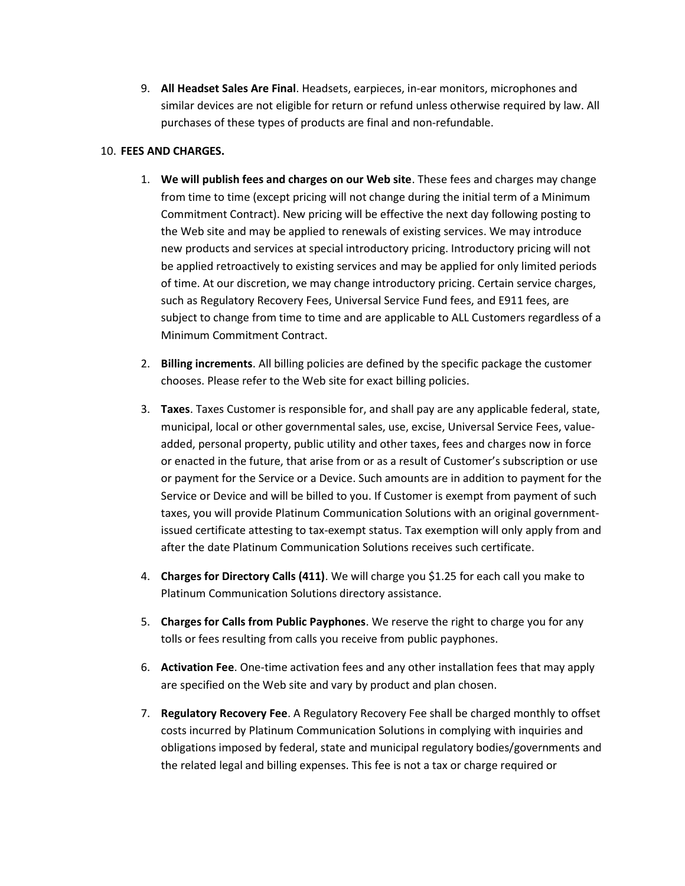9. All Headset Sales Are Final. Headsets, earpieces, in-ear monitors, microphones and similar devices are not eligible for return or refund unless otherwise required by law. All purchases of these types of products are final and non-refundable.

# 10. FEES AND CHARGES.

- 1. We will publish fees and charges on our Web site. These fees and charges may change from time to time (except pricing will not change during the initial term of a Minimum Commitment Contract). New pricing will be effective the next day following posting to the Web site and may be applied to renewals of existing services. We may introduce new products and services at special introductory pricing. Introductory pricing will not be applied retroactively to existing services and may be applied for only limited periods of time. At our discretion, we may change introductory pricing. Certain service charges, such as Regulatory Recovery Fees, Universal Service Fund fees, and E911 fees, are subject to change from time to time and are applicable to ALL Customers regardless of a Minimum Commitment Contract.
- 2. Billing increments. All billing policies are defined by the specific package the customer chooses. Please refer to the Web site for exact billing policies.
- 3. **Taxes**. Taxes Customer is responsible for, and shall pay are any applicable federal, state, municipal, local or other governmental sales, use, excise, Universal Service Fees, valueadded, personal property, public utility and other taxes, fees and charges now in force or enacted in the future, that arise from or as a result of Customer's subscription or use or payment for the Service or a Device. Such amounts are in addition to payment for the Service or Device and will be billed to you. If Customer is exempt from payment of such taxes, you will provide Platinum Communication Solutions with an original governmentissued certificate attesting to tax-exempt status. Tax exemption will only apply from and after the date Platinum Communication Solutions receives such certificate.
- 4. Charges for Directory Calls (411). We will charge you \$1.25 for each call you make to Platinum Communication Solutions directory assistance.
- 5. Charges for Calls from Public Payphones. We reserve the right to charge you for any tolls or fees resulting from calls you receive from public payphones.
- 6. Activation Fee. One-time activation fees and any other installation fees that may apply are specified on the Web site and vary by product and plan chosen.
- 7. Regulatory Recovery Fee. A Regulatory Recovery Fee shall be charged monthly to offset costs incurred by Platinum Communication Solutions in complying with inquiries and obligations imposed by federal, state and municipal regulatory bodies/governments and the related legal and billing expenses. This fee is not a tax or charge required or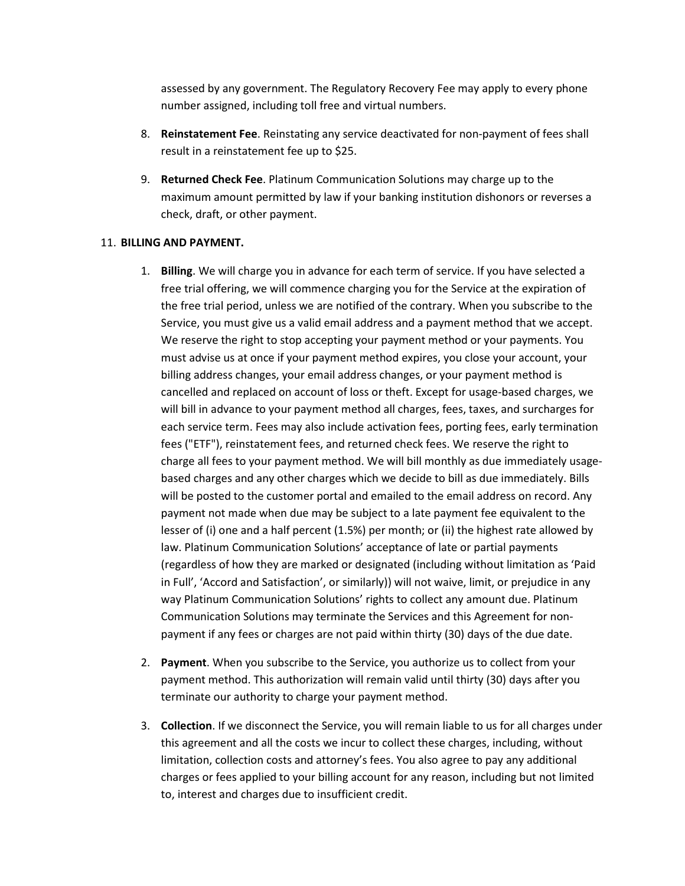assessed by any government. The Regulatory Recovery Fee may apply to every phone number assigned, including toll free and virtual numbers.

- 8. Reinstatement Fee. Reinstating any service deactivated for non-payment of fees shall result in a reinstatement fee up to \$25.
- 9. Returned Check Fee. Platinum Communication Solutions may charge up to the maximum amount permitted by law if your banking institution dishonors or reverses a check, draft, or other payment.

#### 11. BILLING AND PAYMENT.

- 1. Billing. We will charge you in advance for each term of service. If you have selected a free trial offering, we will commence charging you for the Service at the expiration of the free trial period, unless we are notified of the contrary. When you subscribe to the Service, you must give us a valid email address and a payment method that we accept. We reserve the right to stop accepting your payment method or your payments. You must advise us at once if your payment method expires, you close your account, your billing address changes, your email address changes, or your payment method is cancelled and replaced on account of loss or theft. Except for usage-based charges, we will bill in advance to your payment method all charges, fees, taxes, and surcharges for each service term. Fees may also include activation fees, porting fees, early termination fees ("ETF"), reinstatement fees, and returned check fees. We reserve the right to charge all fees to your payment method. We will bill monthly as due immediately usagebased charges and any other charges which we decide to bill as due immediately. Bills will be posted to the customer portal and emailed to the email address on record. Any payment not made when due may be subject to a late payment fee equivalent to the lesser of (i) one and a half percent (1.5%) per month; or (ii) the highest rate allowed by law. Platinum Communication Solutions' acceptance of late or partial payments (regardless of how they are marked or designated (including without limitation as 'Paid in Full', 'Accord and Satisfaction', or similarly)) will not waive, limit, or prejudice in any way Platinum Communication Solutions' rights to collect any amount due. Platinum Communication Solutions may terminate the Services and this Agreement for nonpayment if any fees or charges are not paid within thirty (30) days of the due date.
- 2. Payment. When you subscribe to the Service, you authorize us to collect from your payment method. This authorization will remain valid until thirty (30) days after you terminate our authority to charge your payment method.
- 3. Collection. If we disconnect the Service, you will remain liable to us for all charges under this agreement and all the costs we incur to collect these charges, including, without limitation, collection costs and attorney's fees. You also agree to pay any additional charges or fees applied to your billing account for any reason, including but not limited to, interest and charges due to insufficient credit.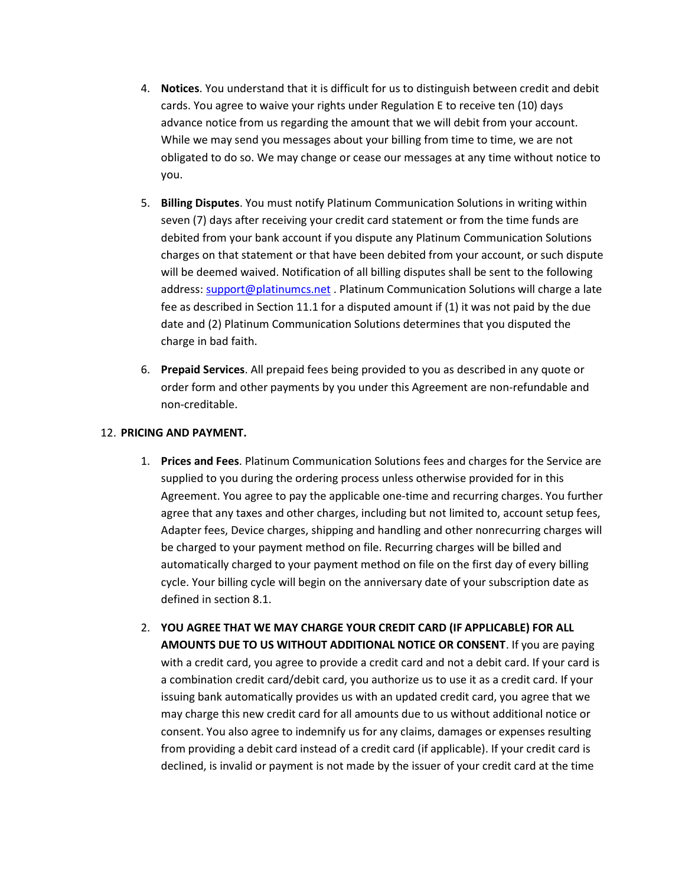- 4. Notices. You understand that it is difficult for us to distinguish between credit and debit cards. You agree to waive your rights under Regulation E to receive ten (10) days advance notice from us regarding the amount that we will debit from your account. While we may send you messages about your billing from time to time, we are not obligated to do so. We may change or cease our messages at any time without notice to you.
- 5. Billing Disputes. You must notify Platinum Communication Solutions in writing within seven (7) days after receiving your credit card statement or from the time funds are debited from your bank account if you dispute any Platinum Communication Solutions charges on that statement or that have been debited from your account, or such dispute will be deemed waived. Notification of all billing disputes shall be sent to the following address: support@platinumcs.net . Platinum Communication Solutions will charge a late fee as described in Section 11.1 for a disputed amount if (1) it was not paid by the due date and (2) Platinum Communication Solutions determines that you disputed the charge in bad faith.
- 6. Prepaid Services. All prepaid fees being provided to you as described in any quote or order form and other payments by you under this Agreement are non-refundable and non-creditable.

### 12. PRICING AND PAYMENT.

- 1. Prices and Fees. Platinum Communication Solutions fees and charges for the Service are supplied to you during the ordering process unless otherwise provided for in this Agreement. You agree to pay the applicable one-time and recurring charges. You further agree that any taxes and other charges, including but not limited to, account setup fees, Adapter fees, Device charges, shipping and handling and other nonrecurring charges will be charged to your payment method on file. Recurring charges will be billed and automatically charged to your payment method on file on the first day of every billing cycle. Your billing cycle will begin on the anniversary date of your subscription date as defined in section 8.1.
- 2. YOU AGREE THAT WE MAY CHARGE YOUR CREDIT CARD (IF APPLICABLE) FOR ALL AMOUNTS DUE TO US WITHOUT ADDITIONAL NOTICE OR CONSENT. If you are paying with a credit card, you agree to provide a credit card and not a debit card. If your card is a combination credit card/debit card, you authorize us to use it as a credit card. If your issuing bank automatically provides us with an updated credit card, you agree that we may charge this new credit card for all amounts due to us without additional notice or consent. You also agree to indemnify us for any claims, damages or expenses resulting from providing a debit card instead of a credit card (if applicable). If your credit card is declined, is invalid or payment is not made by the issuer of your credit card at the time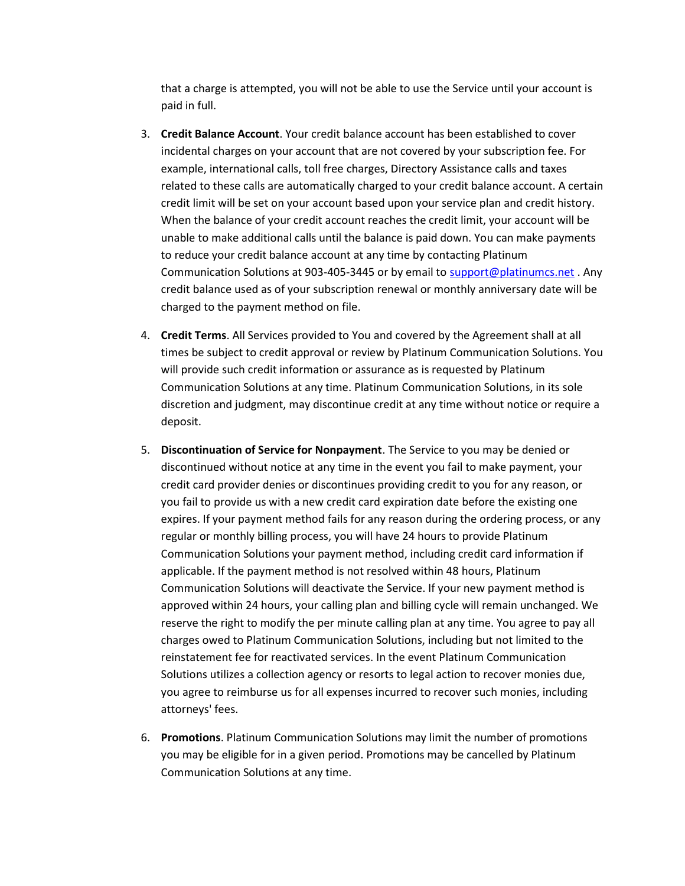that a charge is attempted, you will not be able to use the Service until your account is paid in full.

- 3. Credit Balance Account. Your credit balance account has been established to cover incidental charges on your account that are not covered by your subscription fee. For example, international calls, toll free charges, Directory Assistance calls and taxes related to these calls are automatically charged to your credit balance account. A certain credit limit will be set on your account based upon your service plan and credit history. When the balance of your credit account reaches the credit limit, your account will be unable to make additional calls until the balance is paid down. You can make payments to reduce your credit balance account at any time by contacting Platinum Communication Solutions at 903-405-3445 or by email to support@platinumcs.net . Any credit balance used as of your subscription renewal or monthly anniversary date will be charged to the payment method on file.
- 4. Credit Terms. All Services provided to You and covered by the Agreement shall at all times be subject to credit approval or review by Platinum Communication Solutions. You will provide such credit information or assurance as is requested by Platinum Communication Solutions at any time. Platinum Communication Solutions, in its sole discretion and judgment, may discontinue credit at any time without notice or require a deposit.
- 5. Discontinuation of Service for Nonpayment. The Service to you may be denied or discontinued without notice at any time in the event you fail to make payment, your credit card provider denies or discontinues providing credit to you for any reason, or you fail to provide us with a new credit card expiration date before the existing one expires. If your payment method fails for any reason during the ordering process, or any regular or monthly billing process, you will have 24 hours to provide Platinum Communication Solutions your payment method, including credit card information if applicable. If the payment method is not resolved within 48 hours, Platinum Communication Solutions will deactivate the Service. If your new payment method is approved within 24 hours, your calling plan and billing cycle will remain unchanged. We reserve the right to modify the per minute calling plan at any time. You agree to pay all charges owed to Platinum Communication Solutions, including but not limited to the reinstatement fee for reactivated services. In the event Platinum Communication Solutions utilizes a collection agency or resorts to legal action to recover monies due, you agree to reimburse us for all expenses incurred to recover such monies, including attorneys' fees.
- 6. Promotions. Platinum Communication Solutions may limit the number of promotions you may be eligible for in a given period. Promotions may be cancelled by Platinum Communication Solutions at any time.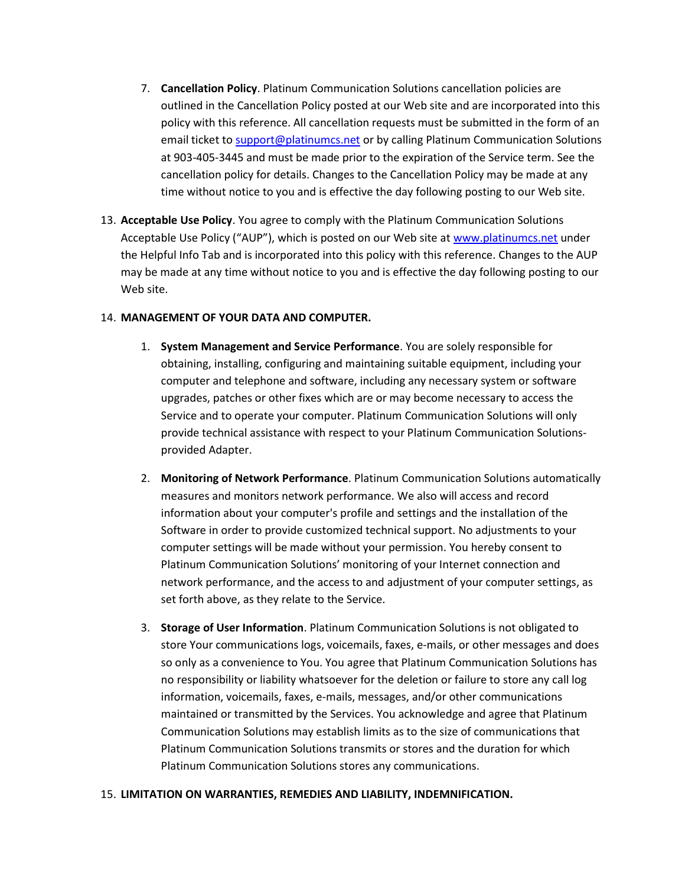- 7. Cancellation Policy. Platinum Communication Solutions cancellation policies are outlined in the Cancellation Policy posted at our Web site and are incorporated into this policy with this reference. All cancellation requests must be submitted in the form of an email ticket to support@platinumcs.net or by calling Platinum Communication Solutions at 903-405-3445 and must be made prior to the expiration of the Service term. See the cancellation policy for details. Changes to the Cancellation Policy may be made at any time without notice to you and is effective the day following posting to our Web site.
- 13. Acceptable Use Policy. You agree to comply with the Platinum Communication Solutions Acceptable Use Policy ("AUP"), which is posted on our Web site at www.platinumcs.net under the Helpful Info Tab and is incorporated into this policy with this reference. Changes to the AUP may be made at any time without notice to you and is effective the day following posting to our Web site.

### 14. MANAGEMENT OF YOUR DATA AND COMPUTER.

- 1. System Management and Service Performance. You are solely responsible for obtaining, installing, configuring and maintaining suitable equipment, including your computer and telephone and software, including any necessary system or software upgrades, patches or other fixes which are or may become necessary to access the Service and to operate your computer. Platinum Communication Solutions will only provide technical assistance with respect to your Platinum Communication Solutionsprovided Adapter.
- 2. Monitoring of Network Performance. Platinum Communication Solutions automatically measures and monitors network performance. We also will access and record information about your computer's profile and settings and the installation of the Software in order to provide customized technical support. No adjustments to your computer settings will be made without your permission. You hereby consent to Platinum Communication Solutions' monitoring of your Internet connection and network performance, and the access to and adjustment of your computer settings, as set forth above, as they relate to the Service.
- 3. Storage of User Information. Platinum Communication Solutions is not obligated to store Your communications logs, voicemails, faxes, e-mails, or other messages and does so only as a convenience to You. You agree that Platinum Communication Solutions has no responsibility or liability whatsoever for the deletion or failure to store any call log information, voicemails, faxes, e-mails, messages, and/or other communications maintained or transmitted by the Services. You acknowledge and agree that Platinum Communication Solutions may establish limits as to the size of communications that Platinum Communication Solutions transmits or stores and the duration for which Platinum Communication Solutions stores any communications.

#### 15. LIMITATION ON WARRANTIES, REMEDIES AND LIABILITY, INDEMNIFICATION.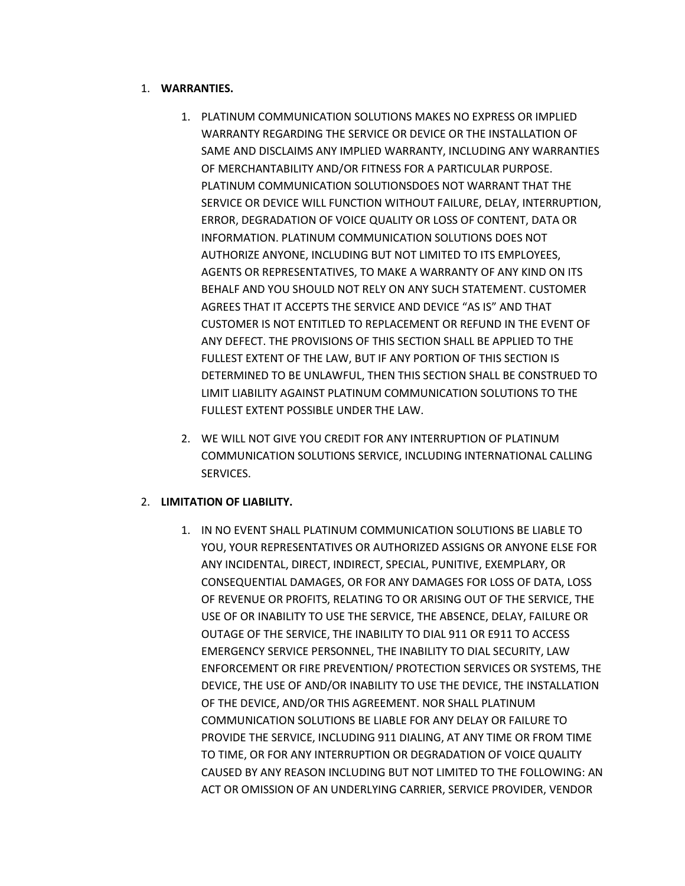# 1. WARRANTIES.

- 1. PLATINUM COMMUNICATION SOLUTIONS MAKES NO EXPRESS OR IMPLIED WARRANTY REGARDING THE SERVICE OR DEVICE OR THE INSTALLATION OF SAME AND DISCLAIMS ANY IMPLIED WARRANTY, INCLUDING ANY WARRANTIES OF MERCHANTABILITY AND/OR FITNESS FOR A PARTICULAR PURPOSE. PLATINUM COMMUNICATION SOLUTIONSDOES NOT WARRANT THAT THE SERVICE OR DEVICE WILL FUNCTION WITHOUT FAILURE, DELAY, INTERRUPTION, ERROR, DEGRADATION OF VOICE QUALITY OR LOSS OF CONTENT, DATA OR INFORMATION. PLATINUM COMMUNICATION SOLUTIONS DOES NOT AUTHORIZE ANYONE, INCLUDING BUT NOT LIMITED TO ITS EMPLOYEES, AGENTS OR REPRESENTATIVES, TO MAKE A WARRANTY OF ANY KIND ON ITS BEHALF AND YOU SHOULD NOT RELY ON ANY SUCH STATEMENT. CUSTOMER AGREES THAT IT ACCEPTS THE SERVICE AND DEVICE "AS IS" AND THAT CUSTOMER IS NOT ENTITLED TO REPLACEMENT OR REFUND IN THE EVENT OF ANY DEFECT. THE PROVISIONS OF THIS SECTION SHALL BE APPLIED TO THE FULLEST EXTENT OF THE LAW, BUT IF ANY PORTION OF THIS SECTION IS DETERMINED TO BE UNLAWFUL, THEN THIS SECTION SHALL BE CONSTRUED TO LIMIT LIABILITY AGAINST PLATINUM COMMUNICATION SOLUTIONS TO THE FULLEST EXTENT POSSIBLE UNDER THE LAW.
- 2. WE WILL NOT GIVE YOU CREDIT FOR ANY INTERRUPTION OF PLATINUM COMMUNICATION SOLUTIONS SERVICE, INCLUDING INTERNATIONAL CALLING SERVICES.

# 2. LIMITATION OF LIABILITY.

1. IN NO EVENT SHALL PLATINUM COMMUNICATION SOLUTIONS BE LIABLE TO YOU, YOUR REPRESENTATIVES OR AUTHORIZED ASSIGNS OR ANYONE ELSE FOR ANY INCIDENTAL, DIRECT, INDIRECT, SPECIAL, PUNITIVE, EXEMPLARY, OR CONSEQUENTIAL DAMAGES, OR FOR ANY DAMAGES FOR LOSS OF DATA, LOSS OF REVENUE OR PROFITS, RELATING TO OR ARISING OUT OF THE SERVICE, THE USE OF OR INABILITY TO USE THE SERVICE, THE ABSENCE, DELAY, FAILURE OR OUTAGE OF THE SERVICE, THE INABILITY TO DIAL 911 OR E911 TO ACCESS EMERGENCY SERVICE PERSONNEL, THE INABILITY TO DIAL SECURITY, LAW ENFORCEMENT OR FIRE PREVENTION/ PROTECTION SERVICES OR SYSTEMS, THE DEVICE, THE USE OF AND/OR INABILITY TO USE THE DEVICE, THE INSTALLATION OF THE DEVICE, AND/OR THIS AGREEMENT. NOR SHALL PLATINUM COMMUNICATION SOLUTIONS BE LIABLE FOR ANY DELAY OR FAILURE TO PROVIDE THE SERVICE, INCLUDING 911 DIALING, AT ANY TIME OR FROM TIME TO TIME, OR FOR ANY INTERRUPTION OR DEGRADATION OF VOICE QUALITY CAUSED BY ANY REASON INCLUDING BUT NOT LIMITED TO THE FOLLOWING: AN ACT OR OMISSION OF AN UNDERLYING CARRIER, SERVICE PROVIDER, VENDOR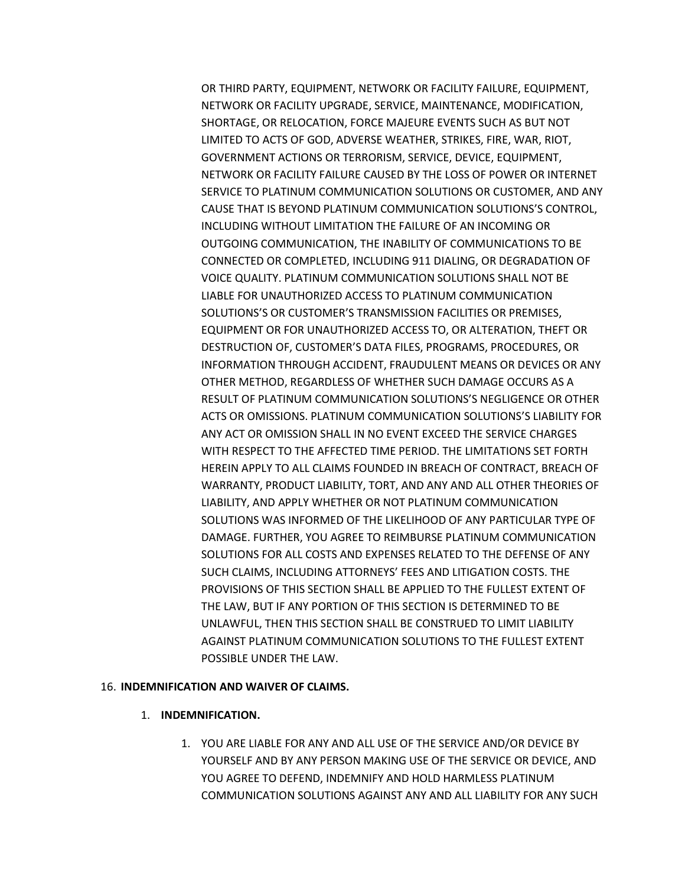OR THIRD PARTY, EQUIPMENT, NETWORK OR FACILITY FAILURE, EQUIPMENT, NETWORK OR FACILITY UPGRADE, SERVICE, MAINTENANCE, MODIFICATION, SHORTAGE, OR RELOCATION, FORCE MAJEURE EVENTS SUCH AS BUT NOT LIMITED TO ACTS OF GOD, ADVERSE WEATHER, STRIKES, FIRE, WAR, RIOT, GOVERNMENT ACTIONS OR TERRORISM, SERVICE, DEVICE, EQUIPMENT, NETWORK OR FACILITY FAILURE CAUSED BY THE LOSS OF POWER OR INTERNET SERVICE TO PLATINUM COMMUNICATION SOLUTIONS OR CUSTOMER, AND ANY CAUSE THAT IS BEYOND PLATINUM COMMUNICATION SOLUTIONS'S CONTROL, INCLUDING WITHOUT LIMITATION THE FAILURE OF AN INCOMING OR OUTGOING COMMUNICATION, THE INABILITY OF COMMUNICATIONS TO BE CONNECTED OR COMPLETED, INCLUDING 911 DIALING, OR DEGRADATION OF VOICE QUALITY. PLATINUM COMMUNICATION SOLUTIONS SHALL NOT BE LIABLE FOR UNAUTHORIZED ACCESS TO PLATINUM COMMUNICATION SOLUTIONS'S OR CUSTOMER'S TRANSMISSION FACILITIES OR PREMISES, EQUIPMENT OR FOR UNAUTHORIZED ACCESS TO, OR ALTERATION, THEFT OR DESTRUCTION OF, CUSTOMER'S DATA FILES, PROGRAMS, PROCEDURES, OR INFORMATION THROUGH ACCIDENT, FRAUDULENT MEANS OR DEVICES OR ANY OTHER METHOD, REGARDLESS OF WHETHER SUCH DAMAGE OCCURS AS A RESULT OF PLATINUM COMMUNICATION SOLUTIONS'S NEGLIGENCE OR OTHER ACTS OR OMISSIONS. PLATINUM COMMUNICATION SOLUTIONS'S LIABILITY FOR ANY ACT OR OMISSION SHALL IN NO EVENT EXCEED THE SERVICE CHARGES WITH RESPECT TO THE AFFECTED TIME PERIOD. THE LIMITATIONS SET FORTH HEREIN APPLY TO ALL CLAIMS FOUNDED IN BREACH OF CONTRACT, BREACH OF WARRANTY, PRODUCT LIABILITY, TORT, AND ANY AND ALL OTHER THEORIES OF LIABILITY, AND APPLY WHETHER OR NOT PLATINUM COMMUNICATION SOLUTIONS WAS INFORMED OF THE LIKELIHOOD OF ANY PARTICULAR TYPE OF DAMAGE. FURTHER, YOU AGREE TO REIMBURSE PLATINUM COMMUNICATION SOLUTIONS FOR ALL COSTS AND EXPENSES RELATED TO THE DEFENSE OF ANY SUCH CLAIMS, INCLUDING ATTORNEYS' FEES AND LITIGATION COSTS. THE PROVISIONS OF THIS SECTION SHALL BE APPLIED TO THE FULLEST EXTENT OF THE LAW, BUT IF ANY PORTION OF THIS SECTION IS DETERMINED TO BE UNLAWFUL, THEN THIS SECTION SHALL BE CONSTRUED TO LIMIT LIABILITY AGAINST PLATINUM COMMUNICATION SOLUTIONS TO THE FULLEST EXTENT POSSIBLE UNDER THE LAW.

### 16. INDEMNIFICATION AND WAIVER OF CLAIMS.

- 1. INDEMNIFICATION.
	- 1. YOU ARE LIABLE FOR ANY AND ALL USE OF THE SERVICE AND/OR DEVICE BY YOURSELF AND BY ANY PERSON MAKING USE OF THE SERVICE OR DEVICE, AND YOU AGREE TO DEFEND, INDEMNIFY AND HOLD HARMLESS PLATINUM COMMUNICATION SOLUTIONS AGAINST ANY AND ALL LIABILITY FOR ANY SUCH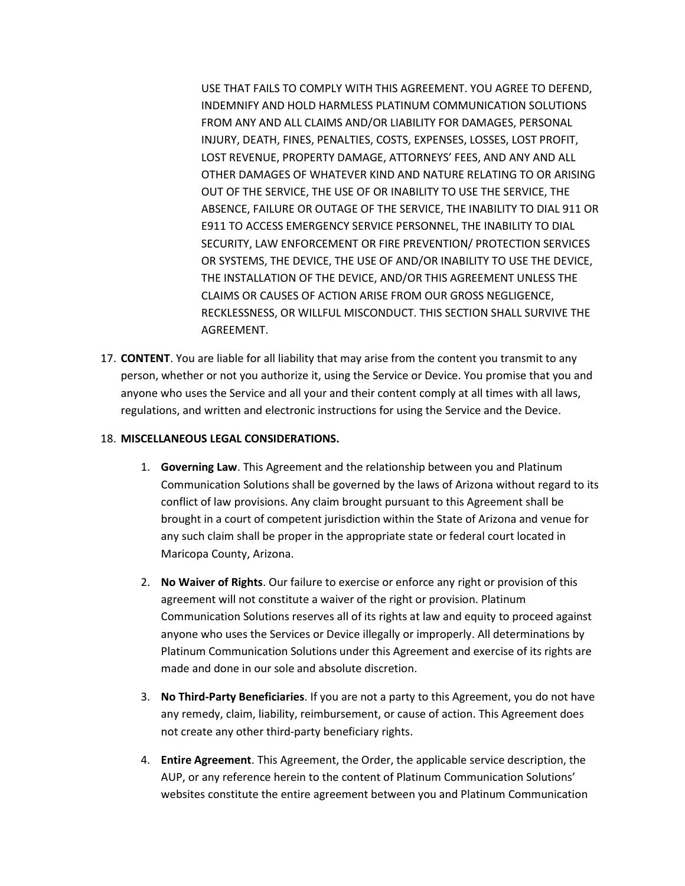USE THAT FAILS TO COMPLY WITH THIS AGREEMENT. YOU AGREE TO DEFEND, INDEMNIFY AND HOLD HARMLESS PLATINUM COMMUNICATION SOLUTIONS FROM ANY AND ALL CLAIMS AND/OR LIABILITY FOR DAMAGES, PERSONAL INJURY, DEATH, FINES, PENALTIES, COSTS, EXPENSES, LOSSES, LOST PROFIT, LOST REVENUE, PROPERTY DAMAGE, ATTORNEYS' FEES, AND ANY AND ALL OTHER DAMAGES OF WHATEVER KIND AND NATURE RELATING TO OR ARISING OUT OF THE SERVICE, THE USE OF OR INABILITY TO USE THE SERVICE, THE ABSENCE, FAILURE OR OUTAGE OF THE SERVICE, THE INABILITY TO DIAL 911 OR E911 TO ACCESS EMERGENCY SERVICE PERSONNEL, THE INABILITY TO DIAL SECURITY, LAW ENFORCEMENT OR FIRE PREVENTION/ PROTECTION SERVICES OR SYSTEMS, THE DEVICE, THE USE OF AND/OR INABILITY TO USE THE DEVICE, THE INSTALLATION OF THE DEVICE, AND/OR THIS AGREEMENT UNLESS THE CLAIMS OR CAUSES OF ACTION ARISE FROM OUR GROSS NEGLIGENCE, RECKLESSNESS, OR WILLFUL MISCONDUCT. THIS SECTION SHALL SURVIVE THE AGREEMENT.

17. CONTENT. You are liable for all liability that may arise from the content you transmit to any person, whether or not you authorize it, using the Service or Device. You promise that you and anyone who uses the Service and all your and their content comply at all times with all laws, regulations, and written and electronic instructions for using the Service and the Device.

### 18. MISCELLANEOUS LEGAL CONSIDERATIONS.

- 1. Governing Law. This Agreement and the relationship between you and Platinum Communication Solutions shall be governed by the laws of Arizona without regard to its conflict of law provisions. Any claim brought pursuant to this Agreement shall be brought in a court of competent jurisdiction within the State of Arizona and venue for any such claim shall be proper in the appropriate state or federal court located in Maricopa County, Arizona.
- 2. No Waiver of Rights. Our failure to exercise or enforce any right or provision of this agreement will not constitute a waiver of the right or provision. Platinum Communication Solutions reserves all of its rights at law and equity to proceed against anyone who uses the Services or Device illegally or improperly. All determinations by Platinum Communication Solutions under this Agreement and exercise of its rights are made and done in our sole and absolute discretion.
- 3. No Third-Party Beneficiaries. If you are not a party to this Agreement, you do not have any remedy, claim, liability, reimbursement, or cause of action. This Agreement does not create any other third-party beneficiary rights.
- 4. Entire Agreement. This Agreement, the Order, the applicable service description, the AUP, or any reference herein to the content of Platinum Communication Solutions' websites constitute the entire agreement between you and Platinum Communication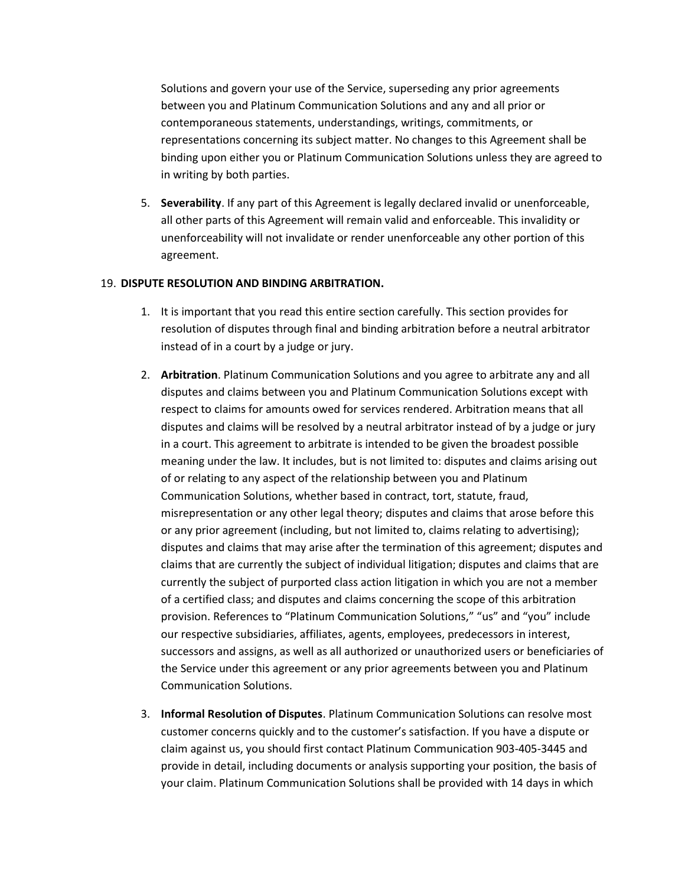Solutions and govern your use of the Service, superseding any prior agreements between you and Platinum Communication Solutions and any and all prior or contemporaneous statements, understandings, writings, commitments, or representations concerning its subject matter. No changes to this Agreement shall be binding upon either you or Platinum Communication Solutions unless they are agreed to in writing by both parties.

5. Severability. If any part of this Agreement is legally declared invalid or unenforceable, all other parts of this Agreement will remain valid and enforceable. This invalidity or unenforceability will not invalidate or render unenforceable any other portion of this agreement.

#### 19. DISPUTE RESOLUTION AND BINDING ARBITRATION.

- 1. It is important that you read this entire section carefully. This section provides for resolution of disputes through final and binding arbitration before a neutral arbitrator instead of in a court by a judge or jury.
- 2. Arbitration. Platinum Communication Solutions and you agree to arbitrate any and all disputes and claims between you and Platinum Communication Solutions except with respect to claims for amounts owed for services rendered. Arbitration means that all disputes and claims will be resolved by a neutral arbitrator instead of by a judge or jury in a court. This agreement to arbitrate is intended to be given the broadest possible meaning under the law. It includes, but is not limited to: disputes and claims arising out of or relating to any aspect of the relationship between you and Platinum Communication Solutions, whether based in contract, tort, statute, fraud, misrepresentation or any other legal theory; disputes and claims that arose before this or any prior agreement (including, but not limited to, claims relating to advertising); disputes and claims that may arise after the termination of this agreement; disputes and claims that are currently the subject of individual litigation; disputes and claims that are currently the subject of purported class action litigation in which you are not a member of a certified class; and disputes and claims concerning the scope of this arbitration provision. References to "Platinum Communication Solutions," "us" and "you" include our respective subsidiaries, affiliates, agents, employees, predecessors in interest, successors and assigns, as well as all authorized or unauthorized users or beneficiaries of the Service under this agreement or any prior agreements between you and Platinum Communication Solutions.
- 3. Informal Resolution of Disputes. Platinum Communication Solutions can resolve most customer concerns quickly and to the customer's satisfaction. If you have a dispute or claim against us, you should first contact Platinum Communication 903-405-3445 and provide in detail, including documents or analysis supporting your position, the basis of your claim. Platinum Communication Solutions shall be provided with 14 days in which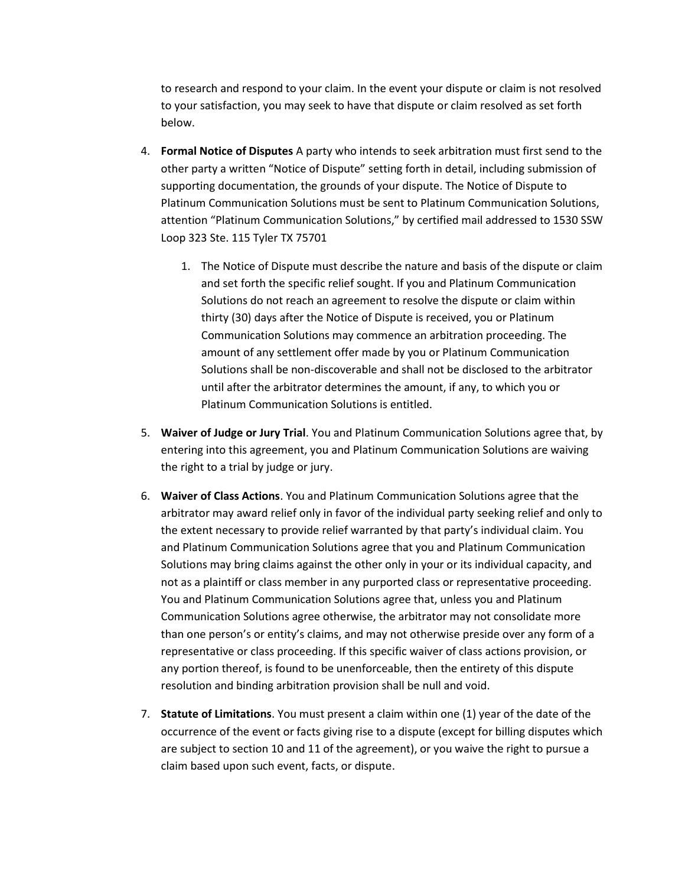to research and respond to your claim. In the event your dispute or claim is not resolved to your satisfaction, you may seek to have that dispute or claim resolved as set forth below.

- 4. Formal Notice of Disputes A party who intends to seek arbitration must first send to the other party a written "Notice of Dispute" setting forth in detail, including submission of supporting documentation, the grounds of your dispute. The Notice of Dispute to Platinum Communication Solutions must be sent to Platinum Communication Solutions, attention "Platinum Communication Solutions," by certified mail addressed to 1530 SSW Loop 323 Ste. 115 Tyler TX 75701
	- 1. The Notice of Dispute must describe the nature and basis of the dispute or claim and set forth the specific relief sought. If you and Platinum Communication Solutions do not reach an agreement to resolve the dispute or claim within thirty (30) days after the Notice of Dispute is received, you or Platinum Communication Solutions may commence an arbitration proceeding. The amount of any settlement offer made by you or Platinum Communication Solutions shall be non-discoverable and shall not be disclosed to the arbitrator until after the arbitrator determines the amount, if any, to which you or Platinum Communication Solutions is entitled.
- 5. Waiver of Judge or Jury Trial. You and Platinum Communication Solutions agree that, by entering into this agreement, you and Platinum Communication Solutions are waiving the right to a trial by judge or jury.
- 6. Waiver of Class Actions. You and Platinum Communication Solutions agree that the arbitrator may award relief only in favor of the individual party seeking relief and only to the extent necessary to provide relief warranted by that party's individual claim. You and Platinum Communication Solutions agree that you and Platinum Communication Solutions may bring claims against the other only in your or its individual capacity, and not as a plaintiff or class member in any purported class or representative proceeding. You and Platinum Communication Solutions agree that, unless you and Platinum Communication Solutions agree otherwise, the arbitrator may not consolidate more than one person's or entity's claims, and may not otherwise preside over any form of a representative or class proceeding. If this specific waiver of class actions provision, or any portion thereof, is found to be unenforceable, then the entirety of this dispute resolution and binding arbitration provision shall be null and void.
- 7. Statute of Limitations. You must present a claim within one (1) year of the date of the occurrence of the event or facts giving rise to a dispute (except for billing disputes which are subject to section 10 and 11 of the agreement), or you waive the right to pursue a claim based upon such event, facts, or dispute.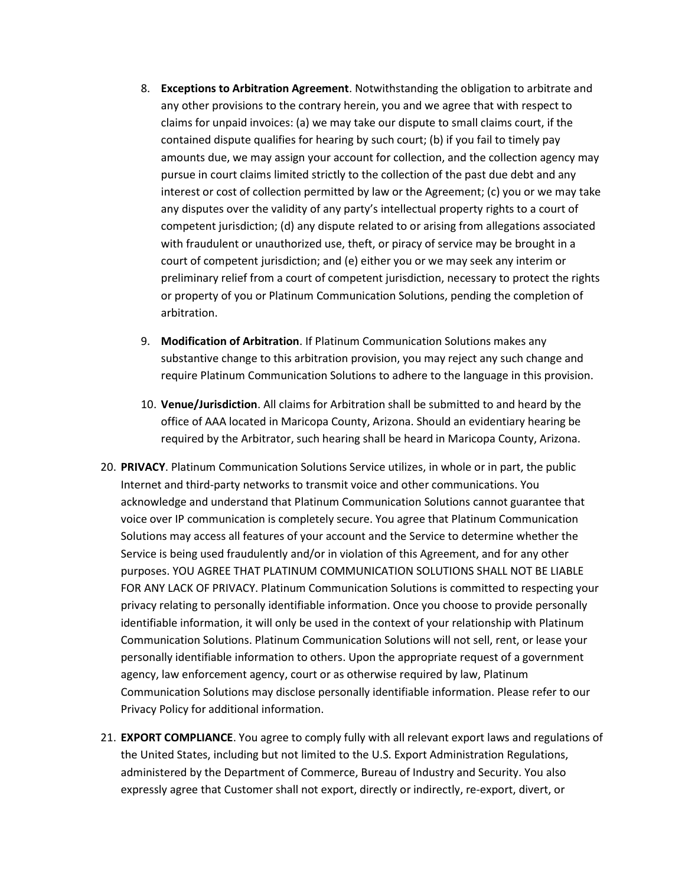- 8. Exceptions to Arbitration Agreement. Notwithstanding the obligation to arbitrate and any other provisions to the contrary herein, you and we agree that with respect to claims for unpaid invoices: (a) we may take our dispute to small claims court, if the contained dispute qualifies for hearing by such court; (b) if you fail to timely pay amounts due, we may assign your account for collection, and the collection agency may pursue in court claims limited strictly to the collection of the past due debt and any interest or cost of collection permitted by law or the Agreement; (c) you or we may take any disputes over the validity of any party's intellectual property rights to a court of competent jurisdiction; (d) any dispute related to or arising from allegations associated with fraudulent or unauthorized use, theft, or piracy of service may be brought in a court of competent jurisdiction; and (e) either you or we may seek any interim or preliminary relief from a court of competent jurisdiction, necessary to protect the rights or property of you or Platinum Communication Solutions, pending the completion of arbitration.
- 9. Modification of Arbitration. If Platinum Communication Solutions makes any substantive change to this arbitration provision, you may reject any such change and require Platinum Communication Solutions to adhere to the language in this provision.
- 10. Venue/Jurisdiction. All claims for Arbitration shall be submitted to and heard by the office of AAA located in Maricopa County, Arizona. Should an evidentiary hearing be required by the Arbitrator, such hearing shall be heard in Maricopa County, Arizona.
- 20. PRIVACY. Platinum Communication Solutions Service utilizes, in whole or in part, the public Internet and third-party networks to transmit voice and other communications. You acknowledge and understand that Platinum Communication Solutions cannot guarantee that voice over IP communication is completely secure. You agree that Platinum Communication Solutions may access all features of your account and the Service to determine whether the Service is being used fraudulently and/or in violation of this Agreement, and for any other purposes. YOU AGREE THAT PLATINUM COMMUNICATION SOLUTIONS SHALL NOT BE LIABLE FOR ANY LACK OF PRIVACY. Platinum Communication Solutions is committed to respecting your privacy relating to personally identifiable information. Once you choose to provide personally identifiable information, it will only be used in the context of your relationship with Platinum Communication Solutions. Platinum Communication Solutions will not sell, rent, or lease your personally identifiable information to others. Upon the appropriate request of a government agency, law enforcement agency, court or as otherwise required by law, Platinum Communication Solutions may disclose personally identifiable information. Please refer to our Privacy Policy for additional information.
- 21. EXPORT COMPLIANCE. You agree to comply fully with all relevant export laws and regulations of the United States, including but not limited to the U.S. Export Administration Regulations, administered by the Department of Commerce, Bureau of Industry and Security. You also expressly agree that Customer shall not export, directly or indirectly, re-export, divert, or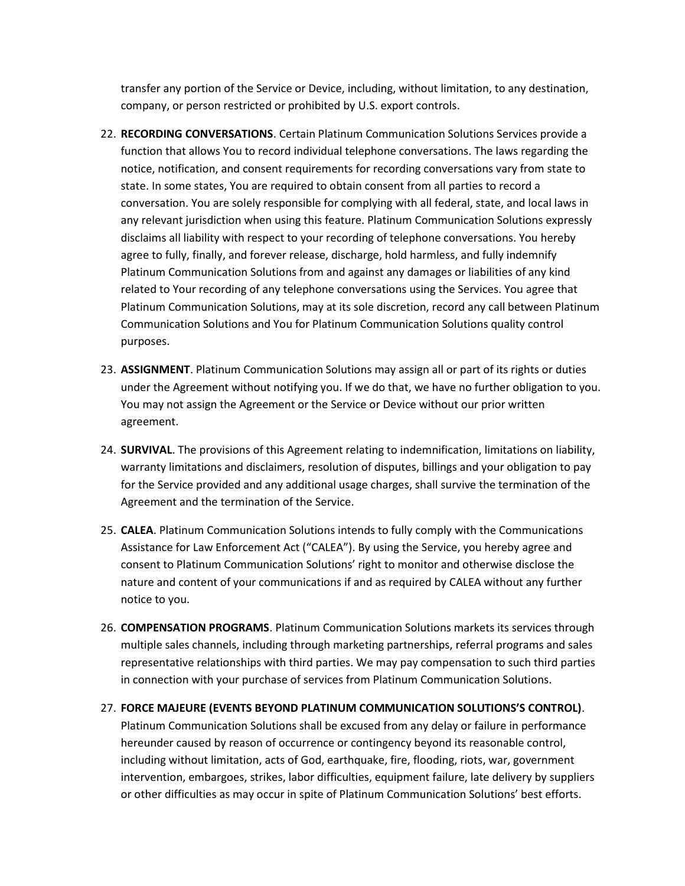transfer any portion of the Service or Device, including, without limitation, to any destination, company, or person restricted or prohibited by U.S. export controls.

- 22. RECORDING CONVERSATIONS. Certain Platinum Communication Solutions Services provide a function that allows You to record individual telephone conversations. The laws regarding the notice, notification, and consent requirements for recording conversations vary from state to state. In some states, You are required to obtain consent from all parties to record a conversation. You are solely responsible for complying with all federal, state, and local laws in any relevant jurisdiction when using this feature. Platinum Communication Solutions expressly disclaims all liability with respect to your recording of telephone conversations. You hereby agree to fully, finally, and forever release, discharge, hold harmless, and fully indemnify Platinum Communication Solutions from and against any damages or liabilities of any kind related to Your recording of any telephone conversations using the Services. You agree that Platinum Communication Solutions, may at its sole discretion, record any call between Platinum Communication Solutions and You for Platinum Communication Solutions quality control purposes.
- 23. ASSIGNMENT. Platinum Communication Solutions may assign all or part of its rights or duties under the Agreement without notifying you. If we do that, we have no further obligation to you. You may not assign the Agreement or the Service or Device without our prior written agreement.
- 24. **SURVIVAL**. The provisions of this Agreement relating to indemnification, limitations on liability, warranty limitations and disclaimers, resolution of disputes, billings and your obligation to pay for the Service provided and any additional usage charges, shall survive the termination of the Agreement and the termination of the Service.
- 25. CALEA. Platinum Communication Solutions intends to fully comply with the Communications Assistance for Law Enforcement Act ("CALEA"). By using the Service, you hereby agree and consent to Platinum Communication Solutions' right to monitor and otherwise disclose the nature and content of your communications if and as required by CALEA without any further notice to you.
- 26. COMPENSATION PROGRAMS. Platinum Communication Solutions markets its services through multiple sales channels, including through marketing partnerships, referral programs and sales representative relationships with third parties. We may pay compensation to such third parties in connection with your purchase of services from Platinum Communication Solutions.
- 27. FORCE MAJEURE (EVENTS BEYOND PLATINUM COMMUNICATION SOLUTIONS'S CONTROL). Platinum Communication Solutions shall be excused from any delay or failure in performance hereunder caused by reason of occurrence or contingency beyond its reasonable control, including without limitation, acts of God, earthquake, fire, flooding, riots, war, government intervention, embargoes, strikes, labor difficulties, equipment failure, late delivery by suppliers or other difficulties as may occur in spite of Platinum Communication Solutions' best efforts.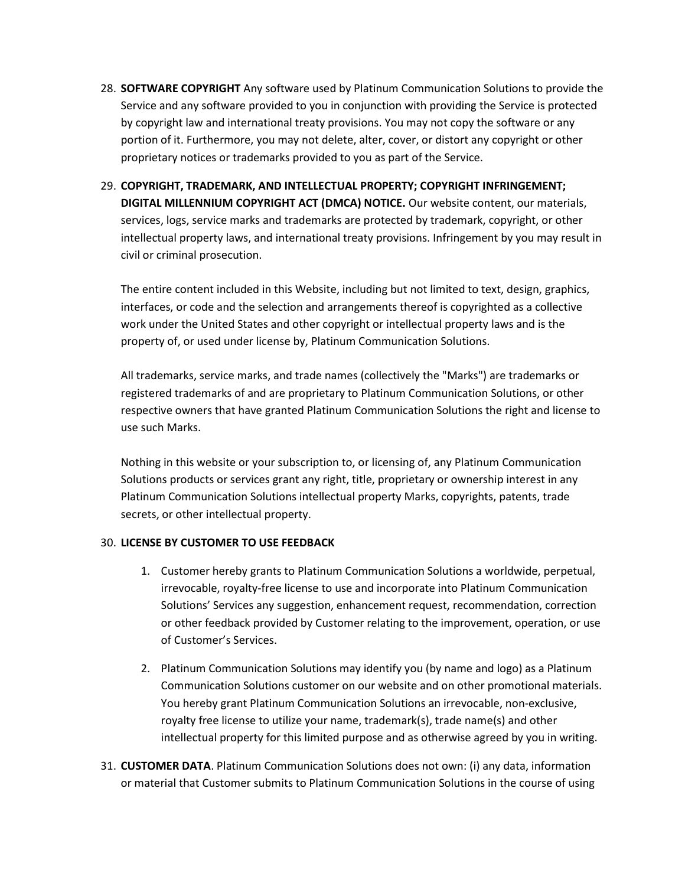- 28. **SOFTWARE COPYRIGHT** Any software used by Platinum Communication Solutions to provide the Service and any software provided to you in conjunction with providing the Service is protected by copyright law and international treaty provisions. You may not copy the software or any portion of it. Furthermore, you may not delete, alter, cover, or distort any copyright or other proprietary notices or trademarks provided to you as part of the Service.
- 29. COPYRIGHT, TRADEMARK, AND INTELLECTUAL PROPERTY; COPYRIGHT INFRINGEMENT; DIGITAL MILLENNIUM COPYRIGHT ACT (DMCA) NOTICE. Our website content, our materials, services, logs, service marks and trademarks are protected by trademark, copyright, or other intellectual property laws, and international treaty provisions. Infringement by you may result in civil or criminal prosecution.

The entire content included in this Website, including but not limited to text, design, graphics, interfaces, or code and the selection and arrangements thereof is copyrighted as a collective work under the United States and other copyright or intellectual property laws and is the property of, or used under license by, Platinum Communication Solutions.

All trademarks, service marks, and trade names (collectively the "Marks") are trademarks or registered trademarks of and are proprietary to Platinum Communication Solutions, or other respective owners that have granted Platinum Communication Solutions the right and license to use such Marks.

Nothing in this website or your subscription to, or licensing of, any Platinum Communication Solutions products or services grant any right, title, proprietary or ownership interest in any Platinum Communication Solutions intellectual property Marks, copyrights, patents, trade secrets, or other intellectual property.

### 30. LICENSE BY CUSTOMER TO USE FEEDBACK

- 1. Customer hereby grants to Platinum Communication Solutions a worldwide, perpetual, irrevocable, royalty-free license to use and incorporate into Platinum Communication Solutions' Services any suggestion, enhancement request, recommendation, correction or other feedback provided by Customer relating to the improvement, operation, or use of Customer's Services.
- 2. Platinum Communication Solutions may identify you (by name and logo) as a Platinum Communication Solutions customer on our website and on other promotional materials. You hereby grant Platinum Communication Solutions an irrevocable, non-exclusive, royalty free license to utilize your name, trademark(s), trade name(s) and other intellectual property for this limited purpose and as otherwise agreed by you in writing.
- 31. CUSTOMER DATA. Platinum Communication Solutions does not own: (i) any data, information or material that Customer submits to Platinum Communication Solutions in the course of using